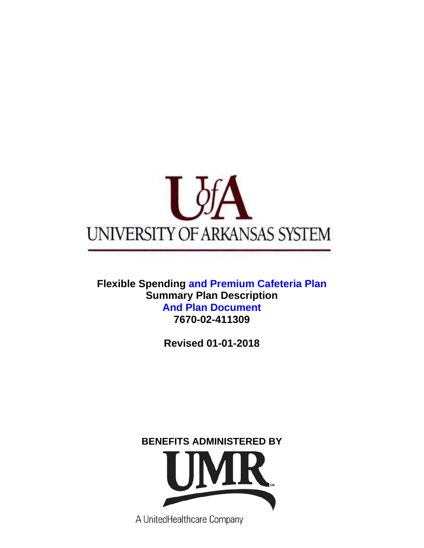

**Flexible Spending and Premium Cafeteria Plan Summary Plan Description And Plan Document 7670-02-411309** 

**Revised 01-01-2018** 

**BENEFITS ADMINISTERED BY** 



A UnitedHealthcare Company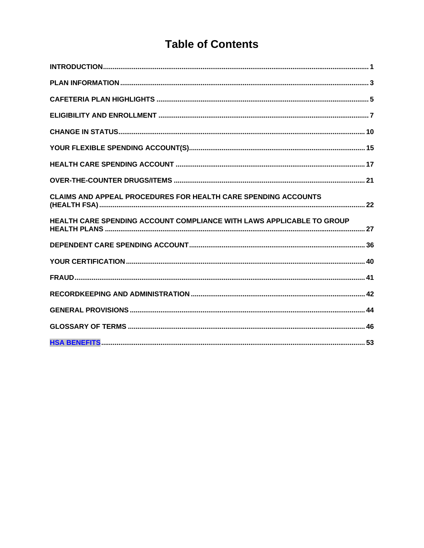# **Table of Contents**

| <b>CLAIMS AND APPEAL PROCEDURES FOR HEALTH CARE SPENDING ACCOUNTS</b> |
|-----------------------------------------------------------------------|
| HEALTH CARE SPENDING ACCOUNT COMPLIANCE WITH LAWS APPLICABLE TO GROUP |
|                                                                       |
|                                                                       |
|                                                                       |
|                                                                       |
|                                                                       |
|                                                                       |
|                                                                       |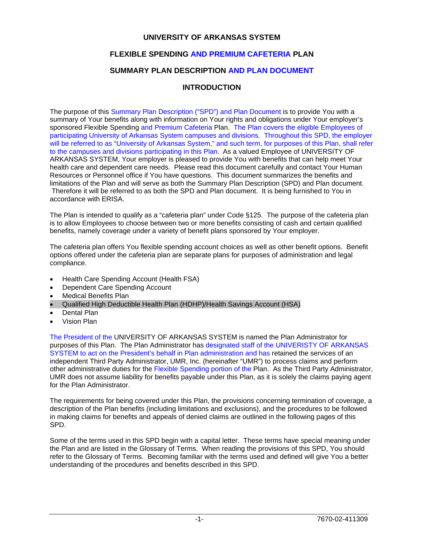# **UNIVERSITY OF ARKANSAS SYSTEM**

# **FLEXIBLE SPENDING AND PREMIUM CAFETERIA PLAN**

# **SUMMARY PLAN DESCRIPTION AND PLAN DOCUMENT**

# **INTRODUCTION**

The purpose of this Summary Plan Description ("SPD") and Plan Document is to provide You with a summary of Your benefits along with information on Your rights and obligations under Your employer's sponsored Flexible Spending and Premium Cafeteria Plan. The Plan covers the eligible Employees of participating University of Arkansas System campuses and divisions. Throughout this SPD, the employer will be referred to as "University of Arkansas System," and such term, for purposes of this Plan, shall refer to the campuses and divisions participating in this Plan. As a valued Employee of UNIVERSITY OF ARKANSAS SYSTEM, Your employer is pleased to provide You with benefits that can help meet Your health care and dependent care needs*.* Please read this document carefully and contact Your Human Resources or Personnel office if You have questions. This document summarizes the benefits and limitations of the Plan and will serve as both the Summary Plan Description (SPD) and Plan document. Therefore it will be referred to as both the SPD and Plan document. It is being furnished to You in accordance with ERISA.

The Plan is intended to qualify as a "cafeteria plan" under Code §125. The purpose of the cafeteria plan is to allow Employees to choose between two or more benefits consisting of cash and certain qualified benefits, namely coverage under a variety of benefit plans sponsored by Your employer.

The cafeteria plan offers You flexible spending account choices as well as other benefit options. Benefit options offered under the cafeteria plan are separate plans for purposes of administration and legal compliance.

- Health Care Spending Account (Health FSA)
- Dependent Care Spending Account
- Medical Benefits Plan
- Qualified High Deductible Health Plan (HDHP)/Health Savings Account (HSA)
- Dental Plan
- Vision Plan

The President of the UNIVERSITY OF ARKANSAS SYSTEM is named the Plan Administrator for purposes of this Plan. The Plan Administrator has designated staff of the UNIVERISTY OF ARKANSAS SYSTEM to act on the President's behalf in Plan administration and has retained the services of an independent Third Party Administrator, UMR, Inc. (hereinafter "UMR") to process claims and perform other administrative duties for the Flexible Spending portion of the Plan. As the Third Party Administrator, UMR does not assume liability for benefits payable under this Plan, as it is solely the claims paying agent for the Plan Administrator.

The requirements for being covered under this Plan, the provisions concerning termination of coverage, a description of the Plan benefits (including limitations and exclusions), and the procedures to be followed in making claims for benefits and appeals of denied claims are outlined in the following pages of this SPD.

Some of the terms used in this SPD begin with a capital letter. These terms have special meaning under the Plan and are listed in the Glossary of Terms. When reading the provisions of this SPD, You should refer to the Glossary of Terms. Becoming familiar with the terms used and defined will give You a better understanding of the procedures and benefits described in this SPD.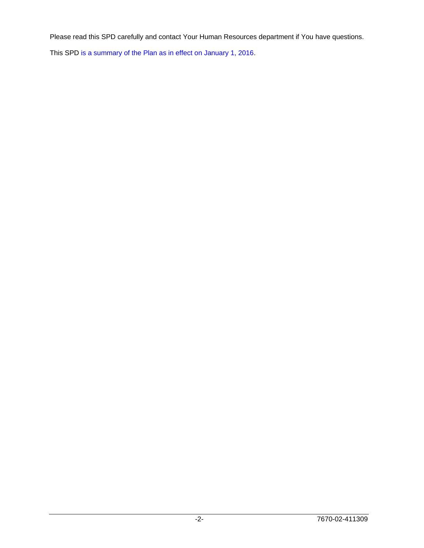Please read this SPD carefully and contact Your Human Resources department if You have questions.

This SPD is a summary of the Plan as in effect on January 1, 2016.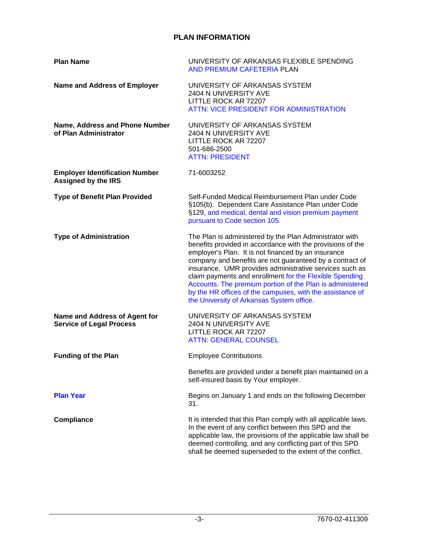# **PLAN INFORMATION**

| <b>Plan Name</b>                                                    | UNIVERSITY OF ARKANSAS FLEXIBLE SPENDING<br>AND PREMIUM CAFETERIA PLAN                                                                                                                                                                                                                                                                                                                                                                                                                                                                |  |
|---------------------------------------------------------------------|---------------------------------------------------------------------------------------------------------------------------------------------------------------------------------------------------------------------------------------------------------------------------------------------------------------------------------------------------------------------------------------------------------------------------------------------------------------------------------------------------------------------------------------|--|
| <b>Name and Address of Employer</b>                                 | UNIVERSITY OF ARKANSAS SYSTEM<br>2404 N UNIVERSITY AVE<br>LITTLE ROCK AR 72207<br>ATTN: VICE PRESIDENT FOR ADMINISTRATION                                                                                                                                                                                                                                                                                                                                                                                                             |  |
| Name, Address and Phone Number<br>of Plan Administrator             | UNIVERSITY OF ARKANSAS SYSTEM<br>2404 N UNIVERSITY AVE<br>LITTLE ROCK AR 72207<br>501-686-2500<br><b>ATTN: PRESIDENT</b>                                                                                                                                                                                                                                                                                                                                                                                                              |  |
| <b>Employer Identification Number</b><br><b>Assigned by the IRS</b> | 71-6003252                                                                                                                                                                                                                                                                                                                                                                                                                                                                                                                            |  |
| <b>Type of Benefit Plan Provided</b>                                | Self-Funded Medical Reimbursement Plan under Code<br>§105(b). Dependent Care Assistance Plan under Code<br>§129, and medical, dental and vision premium payment<br>pursuant to Code section 105.                                                                                                                                                                                                                                                                                                                                      |  |
| <b>Type of Administration</b>                                       | The Plan is administered by the Plan Administrator with<br>benefits provided in accordance with the provisions of the<br>employer's Plan. It is not financed by an insurance<br>company and benefits are not guaranteed by a contract of<br>insurance. UMR provides administrative services such as<br>claim payments and enrollment for the Flexible Spending<br>Accounts. The premium portion of the Plan is administered<br>by the HR offices of the campuses, with the assistance of<br>the University of Arkansas System office. |  |
| Name and Address of Agent for<br><b>Service of Legal Process</b>    | UNIVERSITY OF ARKANSAS SYSTEM<br>2404 N UNIVERSITY AVE<br>LITTLE ROCK AR 72207<br><b>ATTN: GENERAL COUNSEL</b>                                                                                                                                                                                                                                                                                                                                                                                                                        |  |
| <b>Funding of the Plan</b>                                          | <b>Employee Contributions</b>                                                                                                                                                                                                                                                                                                                                                                                                                                                                                                         |  |
|                                                                     | Benefits are provided under a benefit plan maintained on a<br>self-insured basis by Your employer.                                                                                                                                                                                                                                                                                                                                                                                                                                    |  |
| <b>Plan Year</b>                                                    | Begins on January 1 and ends on the following December<br>31.                                                                                                                                                                                                                                                                                                                                                                                                                                                                         |  |
| <b>Compliance</b>                                                   | It is intended that this Plan comply with all applicable laws.<br>In the event of any conflict between this SPD and the<br>applicable law, the provisions of the applicable law shall be<br>deemed controlling, and any conflicting part of this SPD<br>shall be deemed superseded to the extent of the conflict.                                                                                                                                                                                                                     |  |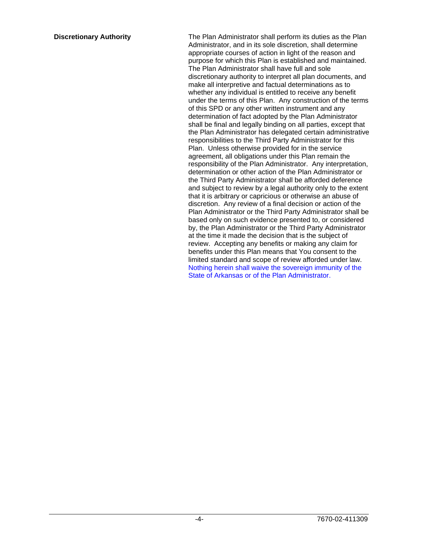**Discretionary Authority** The Plan Administrator shall perform its duties as the Plan Administrator, and in its sole discretion, shall determine appropriate courses of action in light of the reason and purpose for which this Plan is established and maintained. The Plan Administrator shall have full and sole discretionary authority to interpret all plan documents, and make all interpretive and factual determinations as to whether any individual is entitled to receive any benefit under the terms of this Plan. Any construction of the terms of this SPD or any other written instrument and any determination of fact adopted by the Plan Administrator shall be final and legally binding on all parties, except that the Plan Administrator has delegated certain administrative responsibilities to the Third Party Administrator for this Plan. Unless otherwise provided for in the service agreement, all obligations under this Plan remain the responsibility of the Plan Administrator. Any interpretation, determination or other action of the Plan Administrator or the Third Party Administrator shall be afforded deference and subject to review by a legal authority only to the extent that it is arbitrary or capricious or otherwise an abuse of discretion. Any review of a final decision or action of the Plan Administrator or the Third Party Administrator shall be based only on such evidence presented to, or considered by, the Plan Administrator or the Third Party Administrator at the time it made the decision that is the subject of review. Accepting any benefits or making any claim for benefits under this Plan means that You consent to the limited standard and scope of review afforded under law. Nothing herein shall waive the sovereign immunity of the State of Arkansas or of the Plan Administrator.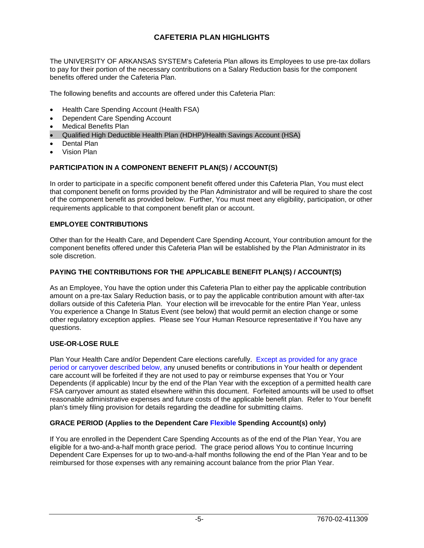# **CAFETERIA PLAN HIGHLIGHTS**

The UNIVERSITY OF ARKANSAS SYSTEM's Cafeteria Plan allows its Employees to use pre-tax dollars to pay for their portion of the necessary contributions on a Salary Reduction basis for the component benefits offered under the Cafeteria Plan.

The following benefits and accounts are offered under this Cafeteria Plan:

- Health Care Spending Account (Health FSA)
- Dependent Care Spending Account
- Medical Benefits Plan
- Qualified High Deductible Health Plan (HDHP)/Health Savings Account (HSA)
- Dental Plan
- Vision Plan

# **PARTICIPATION IN A COMPONENT BENEFIT PLAN(S) / ACCOUNT(S)**

In order to participate in a specific component benefit offered under this Cafeteria Plan, You must elect that component benefit on forms provided by the Plan Administrator and will be required to share the cost of the component benefit as provided below. Further, You must meet any eligibility, participation, or other requirements applicable to that component benefit plan or account.

# **EMPLOYEE CONTRIBUTIONS**

Other than for the Health Care, and Dependent Care Spending Account, Your contribution amount for the component benefits offered under this Cafeteria Plan will be established by the Plan Administrator in its sole discretion.

#### **PAYING THE CONTRIBUTIONS FOR THE APPLICABLE BENEFIT PLAN(S) / ACCOUNT(S)**

As an Employee, You have the option under this Cafeteria Plan to either pay the applicable contribution amount on a pre-tax Salary Reduction basis, or to pay the applicable contribution amount with after-tax dollars outside of this Cafeteria Plan. Your election will be irrevocable for the entire Plan Year, unless You experience a Change In Status Event (see below) that would permit an election change or some other regulatory exception applies. Please see Your Human Resource representative if You have any questions.

#### **USE-OR-LOSE RULE**

Plan Your Health Care and/or Dependent Care elections carefully. Except as provided for any grace period or carryover described below, any unused benefits or contributions in Your health or dependent care account will be forfeited if they are not used to pay or reimburse expenses that You or Your Dependents (if applicable) Incur by the end of the Plan Year with the exception of a permitted health care FSA carryover amount as stated elsewhere within this document. Forfeited amounts will be used to offset reasonable administrative expenses and future costs of the applicable benefit plan. Refer to Your benefit plan's timely filing provision for details regarding the deadline for submitting claims.

#### **GRACE PERIOD (Applies to the Dependent Care Flexible Spending Account(s) only)**

If You are enrolled in the Dependent Care Spending Accounts as of the end of the Plan Year, You are eligible for a two-and-a-half month grace period. The grace period allows You to continue Incurring Dependent Care Expenses for up to two-and-a-half months following the end of the Plan Year and to be reimbursed for those expenses with any remaining account balance from the prior Plan Year.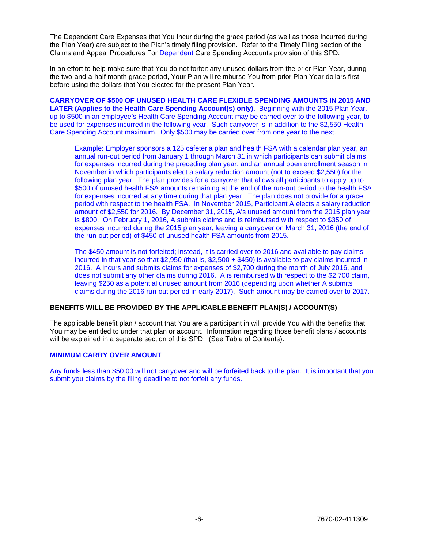The Dependent Care Expenses that You Incur during the grace period (as well as those Incurred during the Plan Year) are subject to the Plan's timely filing provision. Refer to the Timely Filing section of the Claims and Appeal Procedures For Dependent Care Spending Accounts provision of this SPD.

In an effort to help make sure that You do not forfeit any unused dollars from the prior Plan Year, during the two-and-a-half month grace period, Your Plan will reimburse You from prior Plan Year dollars first before using the dollars that You elected for the present Plan Year.

**CARRYOVER OF \$500 OF UNUSED HEALTH CARE FLEXIBLE SPENDING AMOUNTS IN 2015 AND LATER (Applies to the Health Care Spending Account(s) only).** Beginning with the 2015 Plan Year, up to \$500 in an employee's Health Care Spending Account may be carried over to the following year, to be used for expenses incurred in the following year. Such carryover is in addition to the \$2,550 Health Care Spending Account maximum. Only \$500 may be carried over from one year to the next.

Example: Employer sponsors a 125 cafeteria plan and health FSA with a calendar plan year, an annual run-out period from January 1 through March 31 in which participants can submit claims for expenses incurred during the preceding plan year, and an annual open enrollment season in November in which participants elect a salary reduction amount (not to exceed \$2,550) for the following plan year. The plan provides for a carryover that allows all participants to apply up to \$500 of unused health FSA amounts remaining at the end of the run-out period to the health FSA for expenses incurred at any time during that plan year. The plan does not provide for a grace period with respect to the health FSA. In November 2015, Participant A elects a salary reduction amount of \$2,550 for 2016. By December 31, 2015, A's unused amount from the 2015 plan year is \$800. On February 1, 2016, A submits claims and is reimbursed with respect to \$350 of expenses incurred during the 2015 plan year, leaving a carryover on March 31, 2016 (the end of the run-out period) of \$450 of unused health FSA amounts from 2015.

The \$450 amount is not forfeited; instead, it is carried over to 2016 and available to pay claims incurred in that year so that \$2,950 (that is, \$2,500 + \$450) is available to pay claims incurred in 2016. A incurs and submits claims for expenses of \$2,700 during the month of July 2016, and does not submit any other claims during 2016. A is reimbursed with respect to the \$2,700 claim, leaving \$250 as a potential unused amount from 2016 (depending upon whether A submits claims during the 2016 run-out period in early 2017). Such amount may be carried over to 2017.

#### **BENEFITS WILL BE PROVIDED BY THE APPLICABLE BENEFIT PLAN(S) / ACCOUNT(S)**

The applicable benefit plan / account that You are a participant in will provide You with the benefits that You may be entitled to under that plan or account. Information regarding those benefit plans / accounts will be explained in a separate section of this SPD. (See Table of Contents).

#### **MINIMUM CARRY OVER AMOUNT**

Any funds less than \$50.00 will not carryover and will be forfeited back to the plan. It is important that you submit you claims by the filing deadline to not forfeit any funds.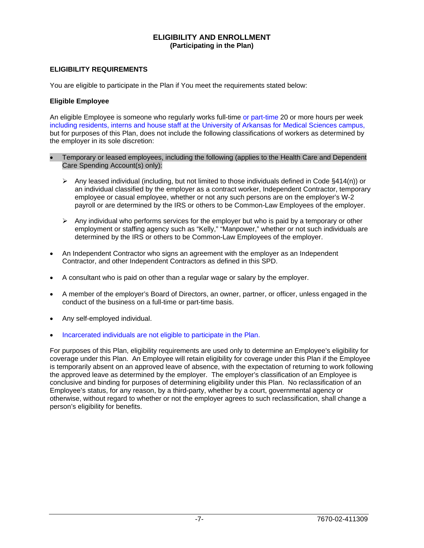### **ELIGIBILITY AND ENROLLMENT (Participating in the Plan)**

#### **ELIGIBILITY REQUIREMENTS**

You are eligible to participate in the Plan if You meet the requirements stated below:

#### **Eligible Employee**

An eligible Employee is someone who regularly works full-time or part-time 20 or more hours per week including residents, interns and house staff at the University of Arkansas for Medical Sciences campus, but for purposes of this Plan, does not include the following classifications of workers as determined by the employer in its sole discretion:

- Temporary or leased employees, including the following (applies to the Health Care and Dependent Care Spending Account(s) only):
	- Any leased individual (including, but not limited to those individuals defined in Code  $\S414(n)$ ) or an individual classified by the employer as a contract worker, Independent Contractor, temporary employee or casual employee, whether or not any such persons are on the employer's W-2 payroll or are determined by the IRS or others to be Common-Law Employees of the employer.
	- $\triangleright$  Any individual who performs services for the employer but who is paid by a temporary or other employment or staffing agency such as "Kelly," "Manpower," whether or not such individuals are determined by the IRS or others to be Common-Law Employees of the employer.
- An Independent Contractor who signs an agreement with the employer as an Independent Contractor, and other Independent Contractors as defined in this SPD.
- A consultant who is paid on other than a regular wage or salary by the employer.
- A member of the employer's Board of Directors, an owner, partner, or officer, unless engaged in the conduct of the business on a full-time or part-time basis.
- Any self-employed individual.
- Incarcerated individuals are not eligible to participate in the Plan.

For purposes of this Plan, eligibility requirements are used only to determine an Employee's eligibility for coverage under this Plan. An Employee will retain eligibility for coverage under this Plan if the Employee is temporarily absent on an approved leave of absence, with the expectation of returning to work following the approved leave as determined by the employer. The employer's classification of an Employee is conclusive and binding for purposes of determining eligibility under this Plan. No reclassification of an Employee's status, for any reason, by a third-party, whether by a court, governmental agency or otherwise, without regard to whether or not the employer agrees to such reclassification, shall change a person's eligibility for benefits.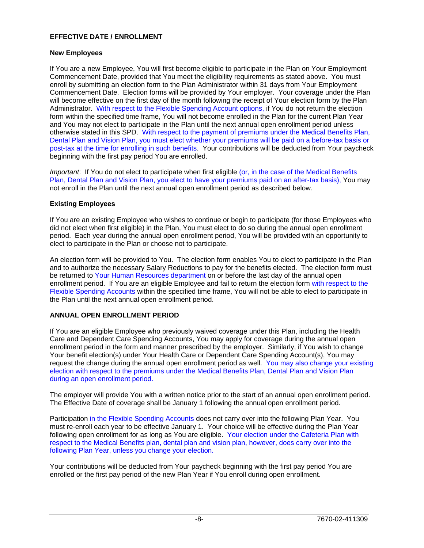### **EFFECTIVE DATE / ENROLLMENT**

#### **New Employees**

If You are a new Employee, You will first become eligible to participate in the Plan on Your Employment Commencement Date, provided that You meet the eligibility requirements as stated above. You must enroll by submitting an election form to the Plan Administrator within 31 days from Your Employment Commencement Date. Election forms will be provided by Your employer. Your coverage under the Plan will become effective on the first day of the month following the receipt of Your election form by the Plan Administrator. With respect to the Flexible Spending Account options, if You do not return the election form within the specified time frame, You will not become enrolled in the Plan for the current Plan Year and You may not elect to participate in the Plan until the next annual open enrollment period unless otherwise stated in this SPD. With respect to the payment of premiums under the Medical Benefits Plan, Dental Plan and Vision Plan, you must elect whether your premiums will be paid on a before-tax basis or post-tax at the time for enrolling in such benefits. Your contributions will be deducted from Your paycheck beginning with the first pay period You are enrolled.

*Important*: If You do not elect to participate when first eligible (or, in the case of the Medical Benefits Plan, Dental Plan and Vision Plan, you elect to have your premiums paid on an after-tax basis), You may not enroll in the Plan until the next annual open enrollment period as described below.

#### **Existing Employees**

If You are an existing Employee who wishes to continue or begin to participate (for those Employees who did not elect when first eligible) in the Plan, You must elect to do so during the annual open enrollment period. Each year during the annual open enrollment period, You will be provided with an opportunity to elect to participate in the Plan or choose not to participate.

An election form will be provided to You. The election form enables You to elect to participate in the Plan and to authorize the necessary Salary Reductions to pay for the benefits elected. The election form must be returned to Your Human Resources department on or before the last day of the annual open enrollment period. If You are an eligible Employee and fail to return the election form with respect to the Flexible Spending Accounts within the specified time frame, You will not be able to elect to participate in the Plan until the next annual open enrollment period.

# **ANNUAL OPEN ENROLLMENT PERIOD**

If You are an eligible Employee who previously waived coverage under this Plan, including the Health Care and Dependent Care Spending Accounts, You may apply for coverage during the annual open enrollment period in the form and manner prescribed by the employer. Similarly, if You wish to change Your benefit election(s) under Your Health Care or Dependent Care Spending Account(s), You may request the change during the annual open enrollment period as well. You may also change your existing election with respect to the premiums under the Medical Benefits Plan, Dental Plan and Vision Plan during an open enrollment period.

The employer will provide You with a written notice prior to the start of an annual open enrollment period. The Effective Date of coverage shall be January 1 following the annual open enrollment period.

Participation in the Flexible Spending Accounts does not carry over into the following Plan Year. You must re-enroll each year to be effective January 1. Your choice will be effective during the Plan Year following open enrollment for as long as You are eligible. Your election under the Cafeteria Plan with respect to the Medical Benefits plan, dental plan and vision plan, however, does carry over into the following Plan Year, unless you change your election.

Your contributions will be deducted from Your paycheck beginning with the first pay period You are enrolled or the first pay period of the new Plan Year if You enroll during open enrollment.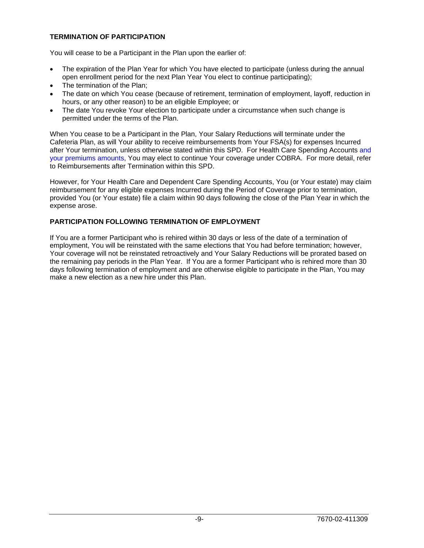### **TERMINATION OF PARTICIPATION**

You will cease to be a Participant in the Plan upon the earlier of:

- The expiration of the Plan Year for which You have elected to participate (unless during the annual open enrollment period for the next Plan Year You elect to continue participating);
- The termination of the Plan;
- The date on which You cease (because of retirement, termination of employment, layoff, reduction in hours, or any other reason) to be an eligible Employee; or
- The date You revoke Your election to participate under a circumstance when such change is permitted under the terms of the Plan.

When You cease to be a Participant in the Plan, Your Salary Reductions will terminate under the Cafeteria Plan, as will Your ability to receive reimbursements from Your FSA(s) for expenses Incurred after Your termination, unless otherwise stated within this SPD. For Health Care Spending Accounts and your premiums amounts, You may elect to continue Your coverage under COBRA. For more detail, refer to Reimbursements after Termination within this SPD.

However, for Your Health Care and Dependent Care Spending Accounts, You (or Your estate) may claim reimbursement for any eligible expenses Incurred during the Period of Coverage prior to termination, provided You (or Your estate) file a claim within 90 days following the close of the Plan Year in which the expense arose.

#### **PARTICIPATION FOLLOWING TERMINATION OF EMPLOYMENT**

If You are a former Participant who is rehired within 30 days or less of the date of a termination of employment, You will be reinstated with the same elections that You had before termination; however, Your coverage will not be reinstated retroactively and Your Salary Reductions will be prorated based on the remaining pay periods in the Plan Year. If You are a former Participant who is rehired more than 30 days following termination of employment and are otherwise eligible to participate in the Plan, You may make a new election as a new hire under this Plan.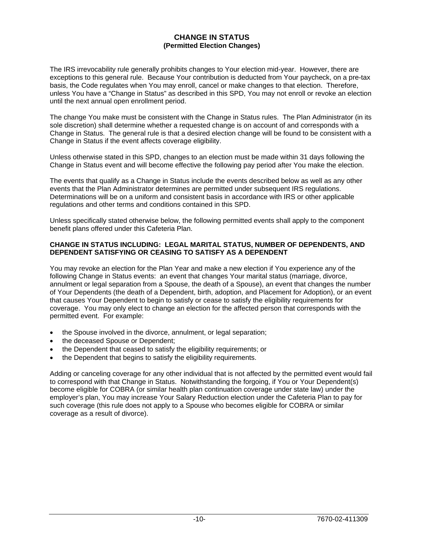#### **CHANGE IN STATUS (Permitted Election Changes)**

The IRS irrevocability rule generally prohibits changes to Your election mid-year. However, there are exceptions to this general rule. Because Your contribution is deducted from Your paycheck, on a pre-tax basis, the Code regulates when You may enroll, cancel or make changes to that election. Therefore, unless You have a "Change in Status" as described in this SPD, You may not enroll or revoke an election until the next annual open enrollment period.

The change You make must be consistent with the Change in Status rules. The Plan Administrator (in its sole discretion) shall determine whether a requested change is on account of and corresponds with a Change in Status. The general rule is that a desired election change will be found to be consistent with a Change in Status if the event affects coverage eligibility.

Unless otherwise stated in this SPD, changes to an election must be made within 31 days following the Change in Status event and will become effective the following pay period after You make the election.

The events that qualify as a Change in Status include the events described below as well as any other events that the Plan Administrator determines are permitted under subsequent IRS regulations. Determinations will be on a uniform and consistent basis in accordance with IRS or other applicable regulations and other terms and conditions contained in this SPD.

Unless specifically stated otherwise below, the following permitted events shall apply to the component benefit plans offered under this Cafeteria Plan.

#### **CHANGE IN STATUS INCLUDING: LEGAL MARITAL STATUS, NUMBER OF DEPENDENTS, AND DEPENDENT SATISFYING OR CEASING TO SATISFY AS A DEPENDENT**

You may revoke an election for the Plan Year and make a new election if You experience any of the following Change in Status events: an event that changes Your marital status (marriage, divorce, annulment or legal separation from a Spouse, the death of a Spouse), an event that changes the number of Your Dependents (the death of a Dependent, birth, adoption, and Placement for Adoption), or an event that causes Your Dependent to begin to satisfy or cease to satisfy the eligibility requirements for coverage. You may only elect to change an election for the affected person that corresponds with the permitted event. For example:

- the Spouse involved in the divorce, annulment, or legal separation;
- the deceased Spouse or Dependent;
- the Dependent that ceased to satisfy the eligibility requirements; or
- the Dependent that begins to satisfy the eligibility requirements.

Adding or canceling coverage for any other individual that is not affected by the permitted event would fail to correspond with that Change in Status. Notwithstanding the forgoing, if You or Your Dependent(s) become eligible for COBRA (or similar health plan continuation coverage under state law) under the employer's plan, You may increase Your Salary Reduction election under the Cafeteria Plan to pay for such coverage (this rule does not apply to a Spouse who becomes eligible for COBRA or similar coverage as a result of divorce).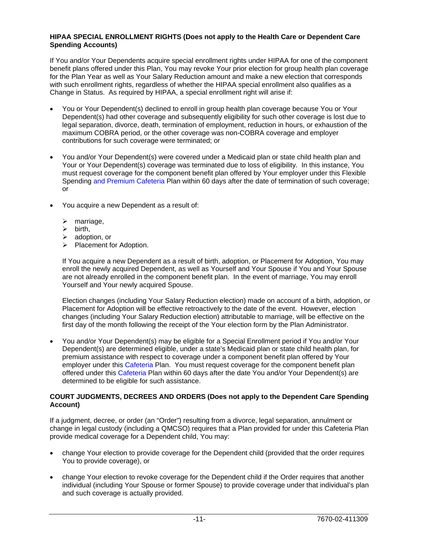#### **HIPAA SPECIAL ENROLLMENT RIGHTS (Does not apply to the Health Care or Dependent Care Spending Accounts)**

If You and/or Your Dependents acquire special enrollment rights under HIPAA for one of the component benefit plans offered under this Plan, You may revoke Your prior election for group health plan coverage for the Plan Year as well as Your Salary Reduction amount and make a new election that corresponds with such enrollment rights, regardless of whether the HIPAA special enrollment also qualifies as a Change in Status. As required by HIPAA, a special enrollment right will arise if:

- You or Your Dependent(s) declined to enroll in group health plan coverage because You or Your Dependent(s) had other coverage and subsequently eligibility for such other coverage is lost due to legal separation, divorce, death, termination of employment, reduction in hours, or exhaustion of the maximum COBRA period, or the other coverage was non-COBRA coverage and employer contributions for such coverage were terminated; or
- You and/or Your Dependent(s) were covered under a Medicaid plan or state child health plan and Your or Your Dependent(s) coverage was terminated due to loss of eligibility. In this instance, You must request coverage for the component benefit plan offered by Your employer under this Flexible Spending and Premium Cafeteria Plan within 60 days after the date of termination of such coverage; or
- You acquire a new Dependent as a result of:
	- $\triangleright$  marriage,
	- $\triangleright$  birth,
	- $\blacktriangleright$  adoption, or
	- $\triangleright$  Placement for Adoption.

If You acquire a new Dependent as a result of birth, adoption, or Placement for Adoption, You may enroll the newly acquired Dependent, as well as Yourself and Your Spouse if You and Your Spouse are not already enrolled in the component benefit plan. In the event of marriage, You may enroll Yourself and Your newly acquired Spouse.

Election changes (including Your Salary Reduction election) made on account of a birth, adoption, or Placement for Adoption will be effective retroactively to the date of the event. However, election changes (including Your Salary Reduction election) attributable to marriage, will be effective on the first day of the month following the receipt of the Your election form by the Plan Administrator.

 You and/or Your Dependent(s) may be eligible for a Special Enrollment period if You and/or Your Dependent(s) are determined eligible, under a state's Medicaid plan or state child health plan, for premium assistance with respect to coverage under a component benefit plan offered by Your employer under this Cafeteria Plan. You must request coverage for the component benefit plan offered under this Cafeteria Plan within 60 days after the date You and/or Your Dependent(s) are determined to be eligible for such assistance.

#### **COURT JUDGMENTS, DECREES AND ORDERS (Does not apply to the Dependent Care Spending Account)**

If a judgment, decree, or order (an "Order") resulting from a divorce, legal separation, annulment or change in legal custody (including a QMCSO) requires that a Plan provided for under this Cafeteria Plan provide medical coverage for a Dependent child, You may:

- change Your election to provide coverage for the Dependent child (provided that the order requires You to provide coverage), or
- change Your election to revoke coverage for the Dependent child if the Order requires that another individual (including Your Spouse or former Spouse) to provide coverage under that individual's plan and such coverage is actually provided.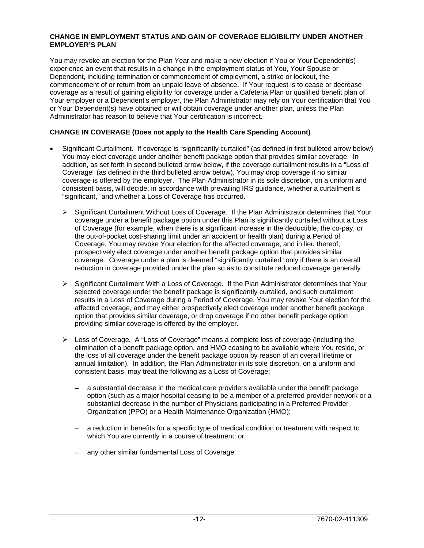#### **CHANGE IN EMPLOYMENT STATUS AND GAIN OF COVERAGE ELIGIBILITY UNDER ANOTHER EMPLOYER'S PLAN**

You may revoke an election for the Plan Year and make a new election if You or Your Dependent(s) experience an event that results in a change in the employment status of You, Your Spouse or Dependent, including termination or commencement of employment, a strike or lockout, the commencement of or return from an unpaid leave of absence. If Your request is to cease or decrease coverage as a result of gaining eligibility for coverage under a Cafeteria Plan or qualified benefit plan of Your employer or a Dependent's employer, the Plan Administrator may rely on Your certification that You or Your Dependent(s) have obtained or will obtain coverage under another plan, unless the Plan Administrator has reason to believe that Your certification is incorrect.

#### **CHANGE IN COVERAGE (Does not apply to the Health Care Spending Account)**

- Significant Curtailment. If coverage is "significantly curtailed" (as defined in first bulleted arrow below) You may elect coverage under another benefit package option that provides similar coverage. In addition, as set forth in second bulleted arrow below, if the coverage curtailment results in a "Loss of Coverage" (as defined in the third bulleted arrow below), You may drop coverage if no similar coverage is offered by the employer. The Plan Administrator in its sole discretion, on a uniform and consistent basis, will decide, in accordance with prevailing IRS guidance, whether a curtailment is "significant," and whether a Loss of Coverage has occurred.
	- $\triangleright$  Significant Curtailment Without Loss of Coverage. If the Plan Administrator determines that Your coverage under a benefit package option under this Plan is significantly curtailed without a Loss of Coverage (for example, when there is a significant increase in the deductible, the co-pay, or the out-of-pocket cost-sharing limit under an accident or health plan) during a Period of Coverage, You may revoke Your election for the affected coverage, and in lieu thereof, prospectively elect coverage under another benefit package option that provides similar coverage. Coverage under a plan is deemed "significantly curtailed" only if there is an overall reduction in coverage provided under the plan so as to constitute reduced coverage generally.
	- $\triangleright$  Significant Curtailment With a Loss of Coverage. If the Plan Administrator determines that Your selected coverage under the benefit package is significantly curtailed, and such curtailment results in a Loss of Coverage during a Period of Coverage, You may revoke Your election for the affected coverage, and may either prospectively elect coverage under another benefit package option that provides similar coverage, or drop coverage if no other benefit package option providing similar coverage is offered by the employer.
	- Loss of Coverage*.* A "Loss of Coverage" means a complete loss of coverage (including the elimination of a benefit package option, and HMO ceasing to be available where You reside, or the loss of all coverage under the benefit package option by reason of an overall lifetime or annual limitation). In addition, the Plan Administrator in its sole discretion, on a uniform and consistent basis, may treat the following as a Loss of Coverage:
		- a substantial decrease in the medical care providers available under the benefit package option (such as a major hospital ceasing to be a member of a preferred provider network or a substantial decrease in the number of Physicians participating in a Preferred Provider Organization (PPO) or a Health Maintenance Organization (HMO);
		- a reduction in benefits for a specific type of medical condition or treatment with respect to which You are currently in a course of treatment; or
		- any other similar fundamental Loss of Coverage.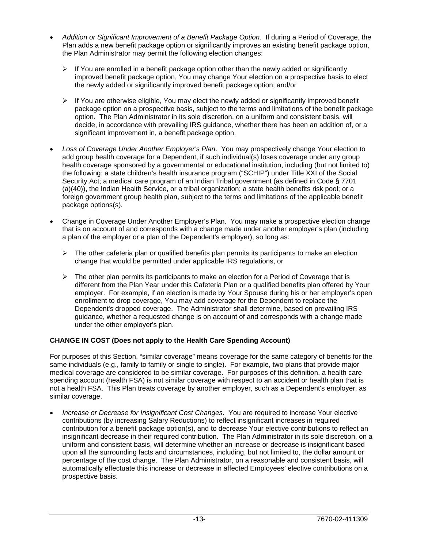- *Addition or Significant Improvement of a Benefit Package Option*. If during a Period of Coverage, the Plan adds a new benefit package option or significantly improves an existing benefit package option, the Plan Administrator may permit the following election changes:
	- $\triangleright$  If You are enrolled in a benefit package option other than the newly added or significantly improved benefit package option, You may change Your election on a prospective basis to elect the newly added or significantly improved benefit package option; and/or
	- $\triangleright$  If You are otherwise eligible, You may elect the newly added or significantly improved benefit package option on a prospective basis, subject to the terms and limitations of the benefit package option. The Plan Administrator in its sole discretion, on a uniform and consistent basis, will decide, in accordance with prevailing IRS guidance, whether there has been an addition of, or a significant improvement in, a benefit package option.
- *Loss of Coverage Under Another Employer's Plan*. You may prospectively change Your election to add group health coverage for a Dependent, if such individual(s) loses coverage under any group health coverage sponsored by a governmental or educational institution, including (but not limited to) the following: a state children's health insurance program ("SCHIP") under Title XXI of the Social Security Act; a medical care program of an Indian Tribal government (as defined in Code § 7701 (a)(40)), the Indian Health Service, or a tribal organization; a state health benefits risk pool; or a foreign government group health plan, subject to the terms and limitations of the applicable benefit package options(s).
- Change in Coverage Under Another Employer's Plan. You may make a prospective election change that is on account of and corresponds with a change made under another employer's plan (including a plan of the employer or a plan of the Dependent's employer), so long as:
	- $\triangleright$  The other cafeteria plan or qualified benefits plan permits its participants to make an election change that would be permitted under applicable IRS regulations, or
	- $\triangleright$  The other plan permits its participants to make an election for a Period of Coverage that is different from the Plan Year under this Cafeteria Plan or a qualified benefits plan offered by Your employer. For example, if an election is made by Your Spouse during his or her employer's open enrollment to drop coverage, You may add coverage for the Dependent to replace the Dependent's dropped coverage. The Administrator shall determine, based on prevailing IRS guidance, whether a requested change is on account of and corresponds with a change made under the other employer's plan.

# **CHANGE IN COST (Does not apply to the Health Care Spending Account)**

For purposes of this Section, "similar coverage" means coverage for the same category of benefits for the same individuals (e.g., family to family or single to single). For example, two plans that provide major medical coverage are considered to be similar coverage. For purposes of this definition, a health care spending account (health FSA) is not similar coverage with respect to an accident or health plan that is not a health FSA. This Plan treats coverage by another employer, such as a Dependent's employer, as similar coverage.

 *Increase or Decrease for Insignificant Cost Changes*. You are required to increase Your elective contributions (by increasing Salary Reductions) to reflect insignificant increases in required contribution for a benefit package option(s), and to decrease Your elective contributions to reflect an insignificant decrease in their required contribution. The Plan Administrator in its sole discretion, on a uniform and consistent basis, will determine whether an increase or decrease is insignificant based upon all the surrounding facts and circumstances, including, but not limited to, the dollar amount or percentage of the cost change. The Plan Administrator, on a reasonable and consistent basis, will automatically effectuate this increase or decrease in affected Employees' elective contributions on a prospective basis.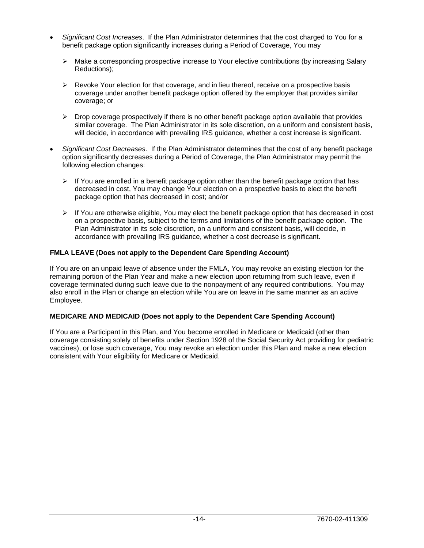- *Significant Cost Increases*. If the Plan Administrator determines that the cost charged to You for a benefit package option significantly increases during a Period of Coverage, You may
	- $\triangleright$  Make a corresponding prospective increase to Your elective contributions (by increasing Salary Reductions);
	- $\triangleright$  Revoke Your election for that coverage, and in lieu thereof, receive on a prospective basis coverage under another benefit package option offered by the employer that provides similar coverage; or
	- $\triangleright$  Drop coverage prospectively if there is no other benefit package option available that provides similar coverage. The Plan Administrator in its sole discretion, on a uniform and consistent basis, will decide, in accordance with prevailing IRS guidance, whether a cost increase is significant.
- *Significant Cost Decreases*. If the Plan Administrator determines that the cost of any benefit package option significantly decreases during a Period of Coverage, the Plan Administrator may permit the following election changes:
	- $\triangleright$  If You are enrolled in a benefit package option other than the benefit package option that has decreased in cost, You may change Your election on a prospective basis to elect the benefit package option that has decreased in cost; and/or
	- $\triangleright$  If You are otherwise eligible, You may elect the benefit package option that has decreased in cost on a prospective basis, subject to the terms and limitations of the benefit package option. The Plan Administrator in its sole discretion, on a uniform and consistent basis, will decide, in accordance with prevailing IRS guidance, whether a cost decrease is significant.

#### **FMLA LEAVE (Does not apply to the Dependent Care Spending Account)**

If You are on an unpaid leave of absence under the FMLA, You may revoke an existing election for the remaining portion of the Plan Year and make a new election upon returning from such leave, even if coverage terminated during such leave due to the nonpayment of any required contributions. You may also enroll in the Plan or change an election while You are on leave in the same manner as an active Employee.

#### **MEDICARE AND MEDICAID (Does not apply to the Dependent Care Spending Account)**

If You are a Participant in this Plan, and You become enrolled in Medicare or Medicaid (other than coverage consisting solely of benefits under Section 1928 of the Social Security Act providing for pediatric vaccines), or lose such coverage, You may revoke an election under this Plan and make a new election consistent with Your eligibility for Medicare or Medicaid.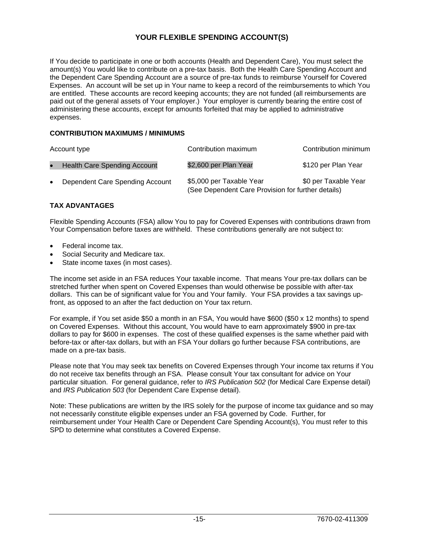# **YOUR FLEXIBLE SPENDING ACCOUNT(S)**

If You decide to participate in one or both accounts (Health and Dependent Care), You must select the amount(s) You would like to contribute on a pre-tax basis. Both the Health Care Spending Account and the Dependent Care Spending Account are a source of pre-tax funds to reimburse Yourself for Covered Expenses. An account will be set up in Your name to keep a record of the reimbursements to which You are entitled. These accounts are record keeping accounts; they are not funded (all reimbursements are paid out of the general assets of Your employer.) Your employer is currently bearing the entire cost of administering these accounts, except for amounts forfeited that may be applied to administrative expenses.

#### **CONTRIBUTION MAXIMUMS / MINIMUMS**

| Account type |                                     | Contribution maximum                                                           | Contribution minimum |
|--------------|-------------------------------------|--------------------------------------------------------------------------------|----------------------|
|              | <b>Health Care Spending Account</b> | \$2,600 per Plan Year                                                          | \$120 per Plan Year  |
|              | Dependent Care Spending Account     | \$5,000 per Taxable Year<br>(See Dependent Care Provision for further details) | \$0 per Taxable Year |

# **TAX ADVANTAGES**

Flexible Spending Accounts (FSA) allow You to pay for Covered Expenses with contributions drawn from Your Compensation before taxes are withheld. These contributions generally are not subject to:

- Federal income tax.
- Social Security and Medicare tax.
- State income taxes (in most cases).

The income set aside in an FSA reduces Your taxable income. That means Your pre-tax dollars can be stretched further when spent on Covered Expenses than would otherwise be possible with after-tax dollars. This can be of significant value for You and Your family. Your FSA provides a tax savings upfront, as opposed to an after the fact deduction on Your tax return.

For example, if You set aside \$50 a month in an FSA, You would have \$600 (\$50 x 12 months) to spend on Covered Expenses. Without this account, You would have to earn approximately \$900 in pre-tax dollars to pay for \$600 in expenses. The cost of these qualified expenses is the same whether paid with before-tax or after-tax dollars, but with an FSA Your dollars go further because FSA contributions, are made on a pre-tax basis.

Please note that You may seek tax benefits on Covered Expenses through Your income tax returns if You do not receive tax benefits through an FSA. Please consult Your tax consultant for advice on Your particular situation. For general guidance, refer to *IRS Publication 502* (for Medical Care Expense detail) and *IRS Publication 503* (for Dependent Care Expense detail).

Note: These publications are written by the IRS solely for the purpose of income tax guidance and so may not necessarily constitute eligible expenses under an FSA governed by Code. Further, for reimbursement under Your Health Care or Dependent Care Spending Account(s), You must refer to this SPD to determine what constitutes a Covered Expense.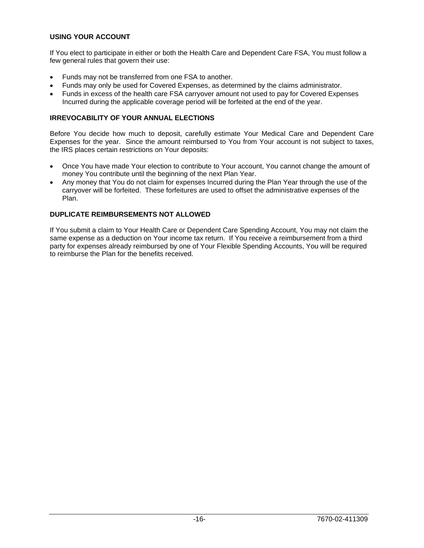#### **USING YOUR ACCOUNT**

If You elect to participate in either or both the Health Care and Dependent Care FSA, You must follow a few general rules that govern their use:

- Funds may not be transferred from one FSA to another.
- Funds may only be used for Covered Expenses, as determined by the claims administrator.
- Funds in excess of the health care FSA carryover amount not used to pay for Covered Expenses Incurred during the applicable coverage period will be forfeited at the end of the year.

# **IRREVOCABILITY OF YOUR ANNUAL ELECTIONS**

Before You decide how much to deposit, carefully estimate Your Medical Care and Dependent Care Expenses for the year. Since the amount reimbursed to You from Your account is not subject to taxes, the IRS places certain restrictions on Your deposits:

- Once You have made Your election to contribute to Your account, You cannot change the amount of money You contribute until the beginning of the next Plan Year.
- Any money that You do not claim for expenses Incurred during the Plan Year through the use of the carryover will be forfeited. These forfeitures are used to offset the administrative expenses of the Plan.

#### **DUPLICATE REIMBURSEMENTS NOT ALLOWED**

If You submit a claim to Your Health Care or Dependent Care Spending Account, You may not claim the same expense as a deduction on Your income tax return. If You receive a reimbursement from a third party for expenses already reimbursed by one of Your Flexible Spending Accounts, You will be required to reimburse the Plan for the benefits received.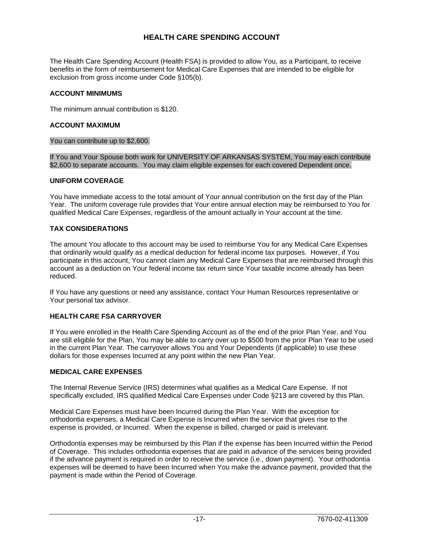# **HEALTH CARE SPENDING ACCOUNT**

The Health Care Spending Account (Health FSA) is provided to allow You, as a Participant, to receive benefits in the form of reimbursement for Medical Care Expenses that are intended to be eligible for exclusion from gross income under Code §105(b).

#### **ACCOUNT MINIMUMS**

The minimum annual contribution is \$120.

#### **ACCOUNT MAXIMUM**

#### You can contribute up to \$2,600.

If You and Your Spouse both work for UNIVERSITY OF ARKANSAS SYSTEM, You may each contribute \$2,600 to separate accounts. You may claim eligible expenses for each covered Dependent once.

#### **UNIFORM COVERAGE**

You have immediate access to the total amount of Your annual contribution on the first day of the Plan Year. The uniform coverage rule provides that Your entire annual election may be reimbursed to You for qualified Medical Care Expenses, regardless of the amount actually in Your account at the time.

#### **TAX CONSIDERATIONS**

The amount You allocate to this account may be used to reimburse You for any Medical Care Expenses that ordinarily would qualify as a medical deduction for federal income tax purposes. However, if You participate in this account, You cannot claim any Medical Care Expenses that are reimbursed through this account as a deduction on Your federal income tax return since Your taxable income already has been reduced.

If You have any questions or need any assistance, contact Your Human Resources representative or Your personal tax advisor.

#### **HEALTH CARE FSA CARRYOVER**

If You were enrolled in the Health Care Spending Account as of the end of the prior Plan Year, and You are still eligible for the Plan, You may be able to carry over up to \$500 from the prior Plan Year to be used in the current Plan Year. The carryover allows You and Your Dependents (if applicable) to use these dollars for those expenses Incurred at any point within the new Plan Year.

#### **MEDICAL CARE EXPENSES**

The Internal Revenue Service (IRS) determines what qualifies as a Medical Care Expense. If not specifically excluded, IRS qualified Medical Care Expenses under Code §213 are covered by this Plan.

Medical Care Expenses must have been Incurred during the Plan Year. With the exception for orthodontia expenses, a Medical Care Expense is Incurred when the service that gives rise to the expense is provided, or Incurred. When the expense is billed, charged or paid is irrelevant.

Orthodontia expenses may be reimbursed by this Plan if the expense has been Incurred within the Period of Coverage. This includes orthodontia expenses that are paid in advance of the services being provided if the advance payment is required in order to receive the service (i.e., down payment). Your orthodontia expenses will be deemed to have been Incurred when You make the advance payment, provided that the payment is made within the Period of Coverage.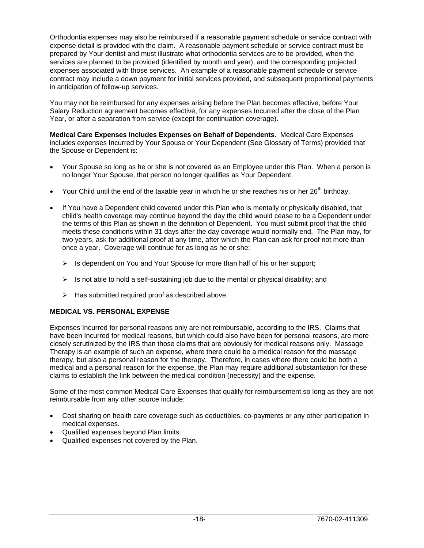Orthodontia expenses may also be reimbursed if a reasonable payment schedule or service contract with expense detail is provided with the claim. A reasonable payment schedule or service contract must be prepared by Your dentist and must illustrate what orthodontia services are to be provided, when the services are planned to be provided (identified by month and year), and the corresponding projected expenses associated with those services. An example of a reasonable payment schedule or service contract may include a down payment for initial services provided, and subsequent proportional payments in anticipation of follow-up services.

You may not be reimbursed for any expenses arising before the Plan becomes effective, before Your Salary Reduction agreement becomes effective, for any expenses Incurred after the close of the Plan Year, or after a separation from service (except for continuation coverage).

**Medical Care Expenses Includes Expenses on Behalf of Dependents.** Medical Care Expenses includes expenses Incurred by Your Spouse or Your Dependent (See Glossary of Terms) provided that the Spouse or Dependent is:

- Your Spouse so long as he or she is not covered as an Employee under this Plan. When a person is no longer Your Spouse, that person no longer qualifies as Your Dependent.
- Your Child until the end of the taxable year in which he or she reaches his or her  $26<sup>th</sup>$  birthday.
- If You have a Dependent child covered under this Plan who is mentally or physically disabled, that child's health coverage may continue beyond the day the child would cease to be a Dependent under the terms of this Plan as shown in the definition of Dependent. You must submit proof that the child meets these conditions within 31 days after the day coverage would normally end. The Plan may, for two years, ask for additional proof at any time, after which the Plan can ask for proof not more than once a year. Coverage will continue for as long as he or she:
	- $\triangleright$  Is dependent on You and Your Spouse for more than half of his or her support;
	- $\triangleright$  Is not able to hold a self-sustaining job due to the mental or physical disability; and
	- $\triangleright$  Has submitted required proof as described above.

# **MEDICAL VS. PERSONAL EXPENSE**

Expenses Incurred for personal reasons only are not reimbursable, according to the IRS. Claims that have been Incurred for medical reasons, but which could also have been for personal reasons, are more closely scrutinized by the IRS than those claims that are obviously for medical reasons only. Massage Therapy is an example of such an expense, where there could be a medical reason for the massage therapy, but also a personal reason for the therapy. Therefore, in cases where there could be both a medical and a personal reason for the expense, the Plan may require additional substantiation for these claims to establish the link between the medical condition (necessity) and the expense.

Some of the most common Medical Care Expenses that qualify for reimbursement so long as they are not reimbursable from any other source include:

- Cost sharing on health care coverage such as deductibles, co-payments or any other participation in medical expenses.
- Qualified expenses beyond Plan limits.
- Qualified expenses not covered by the Plan.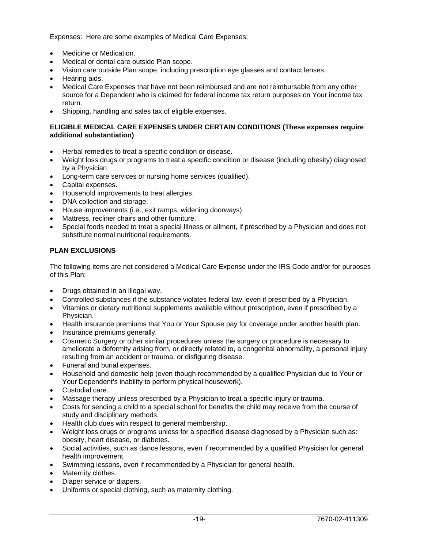Expenses: Here are some examples of Medical Care Expenses:

- Medicine or Medication.
- Medical or dental care outside Plan scope.
- Vision care outside Plan scope, including prescription eye glasses and contact lenses.
- Hearing aids.
- Medical Care Expenses that have not been reimbursed and are not reimbursable from any other source for a Dependent who is claimed for federal income tax return purposes on Your income tax return.
- Shipping, handling and sales tax of eligible expenses.

#### **ELIGIBLE MEDICAL CARE EXPENSES UNDER CERTAIN CONDITIONS (These expenses require additional substantiation)**

- Herbal remedies to treat a specific condition or disease.
- Weight loss drugs or programs to treat a specific condition or disease (including obesity) diagnosed by a Physician.
- Long-term care services or nursing home services (qualified).
- Capital expenses.
- Household improvements to treat allergies.
- DNA collection and storage.
- House improvements (i.e., exit ramps, widening doorways).
- Mattress, recliner chairs and other furniture.
- Special foods needed to treat a special Illness or ailment, if prescribed by a Physician and does not substitute normal nutritional requirements.

# **PLAN EXCLUSIONS**

The following items are not considered a Medical Care Expense under the IRS Code and/or for purposes of this Plan:

- Drugs obtained in an illegal way.
- Controlled substances if the substance violates federal law, even if prescribed by a Physician.
- Vitamins or dietary nutritional supplements available without prescription, even if prescribed by a Physician.
- Health insurance premiums that You or Your Spouse pay for coverage under another health plan.
- Insurance premiums generally.
- Cosmetic Surgery or other similar procedures unless the surgery or procedure is necessary to ameliorate a deformity arising from, or directly related to, a congenital abnormality, a personal injury resulting from an accident or trauma, or disfiguring disease.
- Funeral and burial expenses.
- Household and domestic help (even though recommended by a qualified Physician due to Your or Your Dependent's inability to perform physical housework).
- Custodial care.
- Massage therapy unless prescribed by a Physician to treat a specific injury or trauma.
- Costs for sending a child to a special school for benefits the child may receive from the course of study and disciplinary methods.
- Health club dues with respect to general membership.
- Weight loss drugs or programs unless for a specified disease diagnosed by a Physician such as: obesity, heart disease, or diabetes.
- Social activities, such as dance lessons, even if recommended by a qualified Physician for general health improvement.
- Swimming lessons, even if recommended by a Physician for general health.
- Maternity clothes.
- Diaper service or diapers.
- Uniforms or special clothing, such as maternity clothing.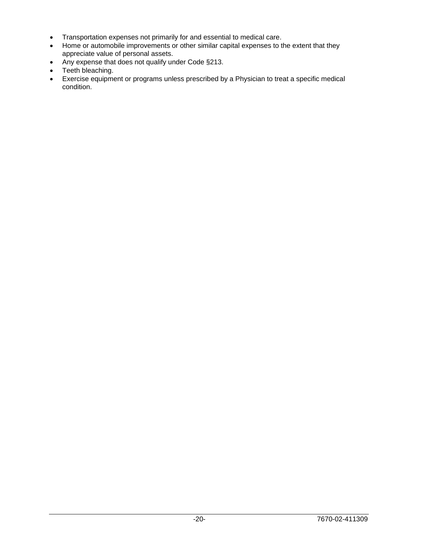- Transportation expenses not primarily for and essential to medical care.
- Home or automobile improvements or other similar capital expenses to the extent that they appreciate value of personal assets.
- Any expense that does not qualify under Code §213.
- Teeth bleaching.
- Exercise equipment or programs unless prescribed by a Physician to treat a specific medical condition.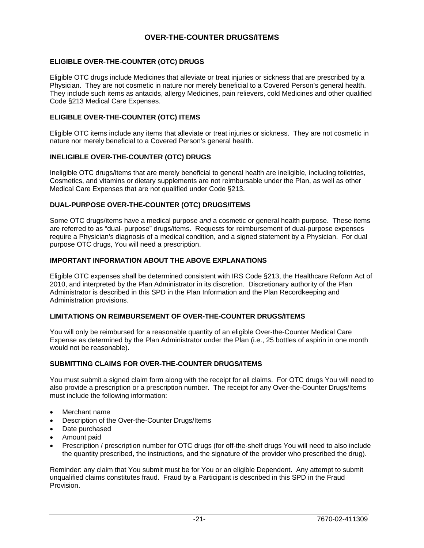# **OVER-THE-COUNTER DRUGS/ITEMS**

#### **ELIGIBLE OVER-THE-COUNTER (OTC) DRUGS**

Eligible OTC drugs include Medicines that alleviate or treat injuries or sickness that are prescribed by a Physician. They are not cosmetic in nature nor merely beneficial to a Covered Person's general health. They include such items as antacids, allergy Medicines, pain relievers, cold Medicines and other qualified Code §213 Medical Care Expenses.

#### **ELIGIBLE OVER-THE-COUNTER (OTC) ITEMS**

Eligible OTC items include any items that alleviate or treat injuries or sickness. They are not cosmetic in nature nor merely beneficial to a Covered Person's general health.

#### **INELIGIBLE OVER-THE-COUNTER (OTC) DRUGS**

Ineligible OTC drugs/items that are merely beneficial to general health are ineligible, including toiletries, Cosmetics, and vitamins or dietary supplements are not reimbursable under the Plan, as well as other Medical Care Expenses that are not qualified under Code §213.

#### **DUAL-PURPOSE OVER-THE-COUNTER (OTC) DRUGS/ITEMS**

Some OTC drugs/items have a medical purpose *and* a cosmetic or general health purpose. These items are referred to as "dual- purpose" drugs/items. Requests for reimbursement of dual-purpose expenses require a Physician's diagnosis of a medical condition, and a signed statement by a Physician. For dual purpose OTC drugs, You will need a prescription.

#### **IMPORTANT INFORMATION ABOUT THE ABOVE EXPLANATIONS**

Eligible OTC expenses shall be determined consistent with IRS Code §213, the Healthcare Reform Act of 2010, and interpreted by the Plan Administrator in its discretion. Discretionary authority of the Plan Administrator is described in this SPD in the Plan Information and the Plan Recordkeeping and Administration provisions.

#### **LIMITATIONS ON REIMBURSEMENT OF OVER-THE-COUNTER DRUGS/ITEMS**

You will only be reimbursed for a reasonable quantity of an eligible Over-the-Counter Medical Care Expense as determined by the Plan Administrator under the Plan (i.e., 25 bottles of aspirin in one month would not be reasonable).

#### **SUBMITTING CLAIMS FOR OVER-THE-COUNTER DRUGS/ITEMS**

You must submit a signed claim form along with the receipt for all claims. For OTC drugs You will need to also provide a prescription or a prescription number. The receipt for any Over-the-Counter Drugs/Items must include the following information:

- Merchant name
- Description of the Over-the-Counter Drugs/Items
- Date purchased
- Amount paid
- Prescription / prescription number for OTC drugs (for off-the-shelf drugs You will need to also include the quantity prescribed, the instructions, and the signature of the provider who prescribed the drug).

Reminder: any claim that You submit must be for You or an eligible Dependent. Any attempt to submit unqualified claims constitutes fraud. Fraud by a Participant is described in this SPD in the Fraud Provision.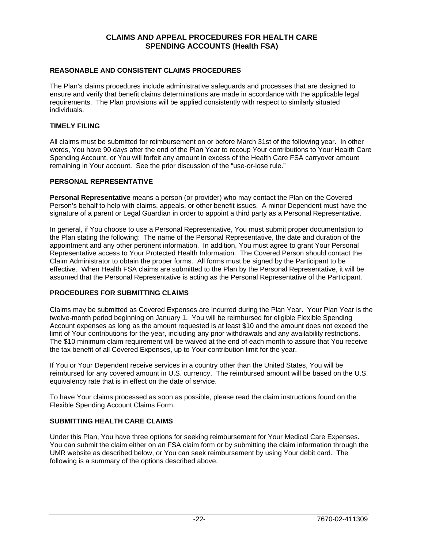# **CLAIMS AND APPEAL PROCEDURES FOR HEALTH CARE SPENDING ACCOUNTS (Health FSA)**

#### **REASONABLE AND CONSISTENT CLAIMS PROCEDURES**

The Plan's claims procedures include administrative safeguards and processes that are designed to ensure and verify that benefit claims determinations are made in accordance with the applicable legal requirements. The Plan provisions will be applied consistently with respect to similarly situated individuals.

#### **TIMELY FILING**

All claims must be submitted for reimbursement on or before March 31st of the following year. In other words, You have 90 days after the end of the Plan Year to recoup Your contributions to Your Health Care Spending Account, or You will forfeit any amount in excess of the Health Care FSA carryover amount remaining in Your account. See the prior discussion of the "use-or-lose rule."

#### **PERSONAL REPRESENTATIVE**

**Personal Representative** means a person (or provider) who may contact the Plan on the Covered Person's behalf to help with claims, appeals, or other benefit issues. A minor Dependent must have the signature of a parent or Legal Guardian in order to appoint a third party as a Personal Representative.

In general, if You choose to use a Personal Representative, You must submit proper documentation to the Plan stating the following: The name of the Personal Representative, the date and duration of the appointment and any other pertinent information. In addition, You must agree to grant Your Personal Representative access to Your Protected Health Information. The Covered Person should contact the Claim Administrator to obtain the proper forms. All forms must be signed by the Participant to be effective. When Health FSA claims are submitted to the Plan by the Personal Representative, it will be assumed that the Personal Representative is acting as the Personal Representative of the Participant.

#### **PROCEDURES FOR SUBMITTING CLAIMS**

Claims may be submitted as Covered Expenses are Incurred during the Plan Year. Your Plan Year is the twelve-month period beginning on January 1. You will be reimbursed for eligible Flexible Spending Account expenses as long as the amount requested is at least \$10 and the amount does not exceed the limit of Your contributions for the year, including any prior withdrawals and any availability restrictions. The \$10 minimum claim requirement will be waived at the end of each month to assure that You receive the tax benefit of all Covered Expenses, up to Your contribution limit for the year.

If You or Your Dependent receive services in a country other than the United States, You will be reimbursed for any covered amount in U.S. currency. The reimbursed amount will be based on the U.S. equivalency rate that is in effect on the date of service.

To have Your claims processed as soon as possible, please read the claim instructions found on the Flexible Spending Account Claims Form.

#### **SUBMITTING HEALTH CARE CLAIMS**

Under this Plan, You have three options for seeking reimbursement for Your Medical Care Expenses. You can submit the claim either on an FSA claim form or by submitting the claim information through the UMR website as described below, or You can seek reimbursement by using Your debit card. The following is a summary of the options described above.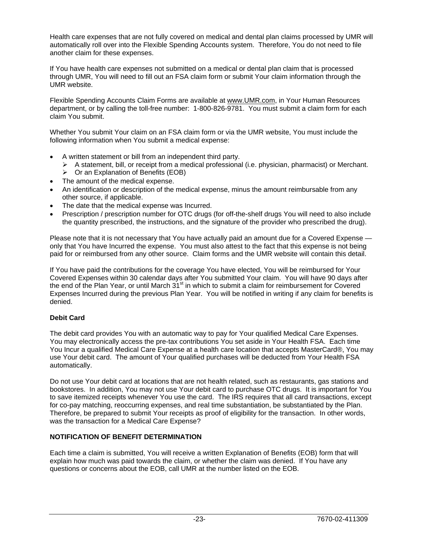Health care expenses that are not fully covered on medical and dental plan claims processed by UMR will automatically roll over into the Flexible Spending Accounts system. Therefore, You do not need to file another claim for these expenses.

If You have health care expenses not submitted on a medical or dental plan claim that is processed through UMR, You will need to fill out an FSA claim form or submit Your claim information through the UMR website.

Flexible Spending Accounts Claim Forms are available at www.UMR.com, in Your Human Resources department, or by calling the toll-free number: 1-800-826-9781. You must submit a claim form for each claim You submit.

Whether You submit Your claim on an FSA claim form or via the UMR website, You must include the following information when You submit a medical expense:

- A written statement or bill from an independent third party.
	- $\triangleright$  A statement, bill, or receipt from a medical professional (i.e. physician, pharmacist) or Merchant.
	- $\triangleright$  Or an Explanation of Benefits (EOB)
- The amount of the medical expense.
- An identification or description of the medical expense, minus the amount reimbursable from any other source, if applicable.
- The date that the medical expense was Incurred.
- Prescription / prescription number for OTC drugs (for off-the-shelf drugs You will need to also include the quantity prescribed, the instructions, and the signature of the provider who prescribed the drug).

Please note that it is not necessary that You have actually paid an amount due for a Covered Expense only that You have Incurred the expense. You must also attest to the fact that this expense is not being paid for or reimbursed from any other source. Claim forms and the UMR website will contain this detail.

If You have paid the contributions for the coverage You have elected, You will be reimbursed for Your Covered Expenses within 30 calendar days after You submitted Your claim. You will have 90 days after the end of the Plan Year, or until March  $31<sup>st</sup>$  in which to submit a claim for reimbursement for Covered Expenses Incurred during the previous Plan Year. You will be notified in writing if any claim for benefits is denied.

# **Debit Card**

The debit card provides You with an automatic way to pay for Your qualified Medical Care Expenses. You may electronically access the pre-tax contributions You set aside in Your Health FSA. Each time You Incur a qualified Medical Care Expense at a health care location that accepts MasterCard®, You may use Your debit card. The amount of Your qualified purchases will be deducted from Your Health FSA automatically.

Do not use Your debit card at locations that are not health related, such as restaurants, gas stations and bookstores. In addition, You may not use Your debit card to purchase OTC drugs. It is important for You to save itemized receipts whenever You use the card. The IRS requires that all card transactions, except for co-pay matching, reoccurring expenses, and real time substantiation, be substantiated by the Plan. Therefore, be prepared to submit Your receipts as proof of eligibility for the transaction. In other words, was the transaction for a Medical Care Expense?

#### **NOTIFICATION OF BENEFIT DETERMINATION**

Each time a claim is submitted, You will receive a written Explanation of Benefits (EOB) form that will explain how much was paid towards the claim, or whether the claim was denied. If You have any questions or concerns about the EOB, call UMR at the number listed on the EOB.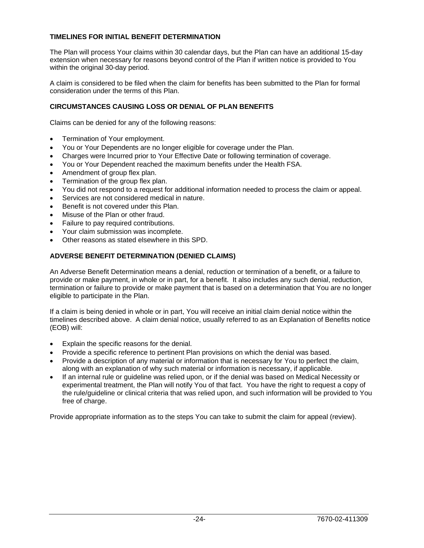# **TIMELINES FOR INITIAL BENEFIT DETERMINATION**

The Plan will process Your claims within 30 calendar days, but the Plan can have an additional 15-day extension when necessary for reasons beyond control of the Plan if written notice is provided to You within the original 30-day period.

A claim is considered to be filed when the claim for benefits has been submitted to the Plan for formal consideration under the terms of this Plan.

#### **CIRCUMSTANCES CAUSING LOSS OR DENIAL OF PLAN BENEFITS**

Claims can be denied for any of the following reasons:

- Termination of Your employment.
- You or Your Dependents are no longer eligible for coverage under the Plan.
- Charges were Incurred prior to Your Effective Date or following termination of coverage.
- You or Your Dependent reached the maximum benefits under the Health FSA.
- Amendment of group flex plan.
- Termination of the group flex plan.
- You did not respond to a request for additional information needed to process the claim or appeal.
- Services are not considered medical in nature.
- Benefit is not covered under this Plan.
- Misuse of the Plan or other fraud.
- Failure to pay required contributions.
- Your claim submission was incomplete.
- Other reasons as stated elsewhere in this SPD.

#### **ADVERSE BENEFIT DETERMINATION (DENIED CLAIMS)**

An Adverse Benefit Determination means a denial, reduction or termination of a benefit, or a failure to provide or make payment, in whole or in part, for a benefit. It also includes any such denial, reduction, termination or failure to provide or make payment that is based on a determination that You are no longer eligible to participate in the Plan.

If a claim is being denied in whole or in part, You will receive an initial claim denial notice within the timelines described above. A claim denial notice, usually referred to as an Explanation of Benefits notice (EOB) will:

- Explain the specific reasons for the denial.
- Provide a specific reference to pertinent Plan provisions on which the denial was based.
- Provide a description of any material or information that is necessary for You to perfect the claim, along with an explanation of why such material or information is necessary, if applicable.
- If an internal rule or guideline was relied upon, or if the denial was based on Medical Necessity or experimental treatment, the Plan will notify You of that fact. You have the right to request a copy of the rule/guideline or clinical criteria that was relied upon, and such information will be provided to You free of charge.

Provide appropriate information as to the steps You can take to submit the claim for appeal (review).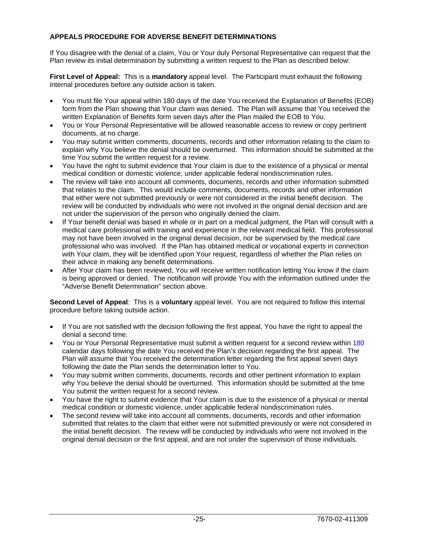# **APPEALS PROCEDURE FOR ADVERSE BENEFIT DETERMINATIONS**

If You disagree with the denial of a claim, You or Your duly Personal Representative can request that the Plan review its initial determination by submitting a written request to the Plan as described below:

**First Level of Appeal:** This is a **mandatory** appeal level. The Participant must exhaust the following internal procedures before any outside action is taken.

- You must file Your appeal within 180 days of the date You received the Explanation of Benefits (EOB) form from the Plan showing that Your claim was denied. The Plan will assume that You received the written Explanation of Benefits form seven days after the Plan mailed the EOB to You.
- You or Your Personal Representative will be allowed reasonable access to review or copy pertinent documents, at no charge.
- You may submit written comments, documents, records and other information relating to the claim to explain why You believe the denial should be overturned. This information should be submitted at the time You submit the written request for a review.
- You have the right to submit evidence that Your claim is due to the existence of a physical or mental medical condition or domestic violence, under applicable federal nondiscrimination rules.
- The review will take into account all comments, documents, records and other information submitted that relates to the claim. This would include comments, documents, records and other information that either were not submitted previously or were not considered in the initial benefit decision. The review will be conducted by individuals who were not involved in the original denial decision and are not under the supervision of the person who originally denied the claim.
- If Your benefit denial was based in whole or in part on a medical judgment, the Plan will consult with a medical care professional with training and experience in the relevant medical field. This professional may not have been involved in the original denial decision, nor be supervised by the medical care professional who was involved. If the Plan has obtained medical or vocational experts in connection with Your claim, they will be identified upon Your request, regardless of whether the Plan relies on their advice in making any benefit determinations.
- After Your claim has been reviewed, You will receive written notification letting You know if the claim is being approved or denied. The notification will provide You with the information outlined under the "Adverse Benefit Determination" section above.

**Second Level of Appeal**: This is a **voluntary** appeal level. You are not required to follow this internal procedure before taking outside action.

- If You are not satisfied with the decision following the first appeal, You have the right to appeal the denial a second time.
- You or Your Personal Representative must submit a written request for a second review within 180 calendar days following the date You received the Plan's decision regarding the first appeal. The Plan will assume that You received the determination letter regarding the first appeal seven days following the date the Plan sends the determination letter to You.
- You may submit written comments, documents, records and other pertinent information to explain why You believe the denial should be overturned. This information should be submitted at the time You submit the written request for a second review.
- You have the right to submit evidence that Your claim is due to the existence of a physical or mental medical condition or domestic violence, under applicable federal nondiscrimination rules.
- The second review will take into account all comments, documents, records and other information submitted that relates to the claim that either were not submitted previously or were not considered in the initial benefit decision. The review will be conducted by individuals who were not involved in the original denial decision or the first appeal, and are not under the supervision of those individuals.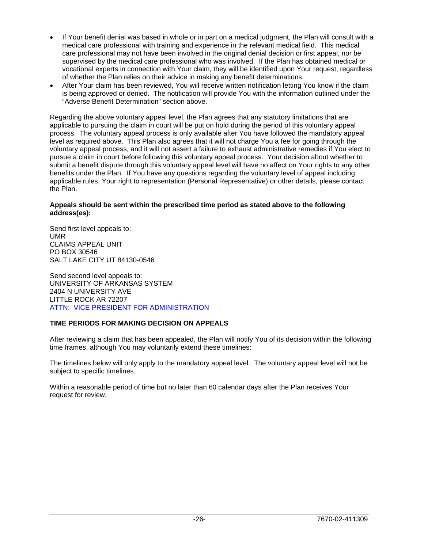- If Your benefit denial was based in whole or in part on a medical judgment, the Plan will consult with a medical care professional with training and experience in the relevant medical field. This medical care professional may not have been involved in the original denial decision or first appeal, nor be supervised by the medical care professional who was involved. If the Plan has obtained medical or vocational experts in connection with Your claim, they will be identified upon Your request, regardless of whether the Plan relies on their advice in making any benefit determinations.
- After Your claim has been reviewed, You will receive written notification letting You know if the claim is being approved or denied. The notification will provide You with the information outlined under the "Adverse Benefit Determination" section above.

Regarding the above voluntary appeal level, the Plan agrees that any statutory limitations that are applicable to pursuing the claim in court will be put on hold during the period of this voluntary appeal process. The voluntary appeal process is only available after You have followed the mandatory appeal level as required above. This Plan also agrees that it will not charge You a fee for going through the voluntary appeal process, and it will not assert a failure to exhaust administrative remedies if You elect to pursue a claim in court before following this voluntary appeal process. Your decision about whether to submit a benefit dispute through this voluntary appeal level will have no affect on Your rights to any other benefits under the Plan. If You have any questions regarding the voluntary level of appeal including applicable rules, Your right to representation (Personal Representative) or other details, please contact the Plan.

#### **Appeals should be sent within the prescribed time period as stated above to the following address(es):**

Send first level appeals to: UMR CLAIMS APPEAL UNIT PO BOX 30546 SALT LAKE CITY UT 84130-0546

Send second level appeals to: UNIVERSITY OF ARKANSAS SYSTEM 2404 N UNIVERSITY AVE LITTLE ROCK AR 72207 ATTN: VICE PRESIDENT FOR ADMINISTRATION

# **TIME PERIODS FOR MAKING DECISION ON APPEALS**

After reviewing a claim that has been appealed, the Plan will notify You of its decision within the following time frames, although You may voluntarily extend these timelines:

The timelines below will only apply to the mandatory appeal level. The voluntary appeal level will not be subject to specific timelines.

Within a reasonable period of time but no later than 60 calendar days after the Plan receives Your request for review.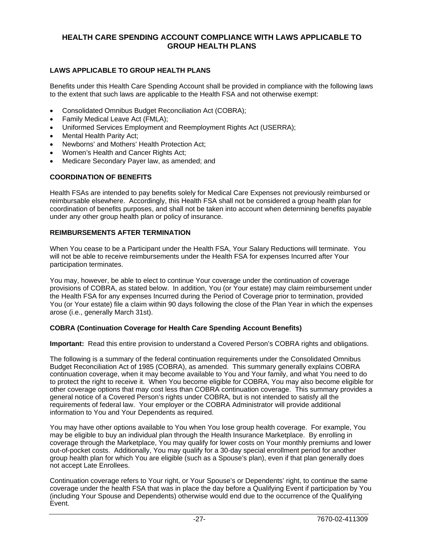# **HEALTH CARE SPENDING ACCOUNT COMPLIANCE WITH LAWS APPLICABLE TO GROUP HEALTH PLANS**

# **LAWS APPLICABLE TO GROUP HEALTH PLANS**

Benefits under this Health Care Spending Account shall be provided in compliance with the following laws to the extent that such laws are applicable to the Health FSA and not otherwise exempt:

- Consolidated Omnibus Budget Reconciliation Act (COBRA);
- Family Medical Leave Act (FMLA);
- Uniformed Services Employment and Reemployment Rights Act (USERRA);
- Mental Health Parity Act;
- Newborns' and Mothers' Health Protection Act;
- Women's Health and Cancer Rights Act;
- Medicare Secondary Payer law, as amended; and

#### **COORDINATION OF BENEFITS**

Health FSAs are intended to pay benefits solely for Medical Care Expenses not previously reimbursed or reimbursable elsewhere. Accordingly, this Health FSA shall not be considered a group health plan for coordination of benefits purposes, and shall not be taken into account when determining benefits payable under any other group health plan or policy of insurance.

#### **REIMBURSEMENTS AFTER TERMINATION**

When You cease to be a Participant under the Health FSA, Your Salary Reductions will terminate. You will not be able to receive reimbursements under the Health FSA for expenses Incurred after Your participation terminates.

You may, however, be able to elect to continue Your coverage under the continuation of coverage provisions of COBRA, as stated below. In addition, You (or Your estate) may claim reimbursement under the Health FSA for any expenses Incurred during the Period of Coverage prior to termination, provided You (or Your estate) file a claim within 90 days following the close of the Plan Year in which the expenses arose (i.e., generally March 31st).

#### **COBRA (Continuation Coverage for Health Care Spending Account Benefits)**

**Important:** Read this entire provision to understand a Covered Person's COBRA rights and obligations.

The following is a summary of the federal continuation requirements under the Consolidated Omnibus Budget Reconciliation Act of 1985 (COBRA), as amended. This summary generally explains COBRA continuation coverage, when it may become available to You and Your family, and what You need to do to protect the right to receive it. When You become eligible for COBRA, You may also become eligible for other coverage options that may cost less than COBRA continuation coverage. This summary provides a general notice of a Covered Person's rights under COBRA, but is not intended to satisfy all the requirements of federal law. Your employer or the COBRA Administrator will provide additional information to You and Your Dependents as required.

You may have other options available to You when You lose group health coverage. For example, You may be eligible to buy an individual plan through the Health Insurance Marketplace. By enrolling in coverage through the Marketplace, You may qualify for lower costs on Your monthly premiums and lower out-of-pocket costs. Additionally, You may qualify for a 30-day special enrollment period for another group health plan for which You are eligible (such as a Spouse's plan), even if that plan generally does not accept Late Enrollees.

Continuation coverage refers to Your right, or Your Spouse's or Dependents' right, to continue the same coverage under the health FSA that was in place the day before a Qualifying Event if participation by You (including Your Spouse and Dependents) otherwise would end due to the occurrence of the Qualifying Event.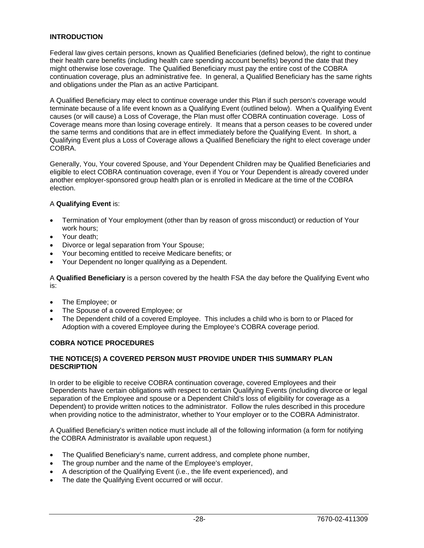#### **INTRODUCTION**

Federal law gives certain persons, known as Qualified Beneficiaries (defined below), the right to continue their health care benefits (including health care spending account benefits) beyond the date that they might otherwise lose coverage. The Qualified Beneficiary must pay the entire cost of the COBRA continuation coverage, plus an administrative fee. In general, a Qualified Beneficiary has the same rights and obligations under the Plan as an active Participant.

A Qualified Beneficiary may elect to continue coverage under this Plan if such person's coverage would terminate because of a life event known as a Qualifying Event (outlined below). When a Qualifying Event causes (or will cause) a Loss of Coverage, the Plan must offer COBRA continuation coverage. Loss of Coverage means more than losing coverage entirely. It means that a person ceases to be covered under the same terms and conditions that are in effect immediately before the Qualifying Event. In short, a Qualifying Event plus a Loss of Coverage allows a Qualified Beneficiary the right to elect coverage under COBRA.

Generally, You, Your covered Spouse, and Your Dependent Children may be Qualified Beneficiaries and eligible to elect COBRA continuation coverage, even if You or Your Dependent is already covered under another employer-sponsored group health plan or is enrolled in Medicare at the time of the COBRA election.

#### A **Qualifying Event** is:

- Termination of Your employment (other than by reason of gross misconduct) or reduction of Your work hours;
- Your death;
- Divorce or legal separation from Your Spouse;
- Your becoming entitled to receive Medicare benefits; or
- Your Dependent no longer qualifying as a Dependent.

A **Qualified Beneficiary** is a person covered by the health FSA the day before the Qualifying Event who is:

- The Employee; or
- The Spouse of a covered Employee; or
- The Dependent child of a covered Employee. This includes a child who is born to or Placed for Adoption with a covered Employee during the Employee's COBRA coverage period.

#### **COBRA NOTICE PROCEDURES**

#### **THE NOTICE(S) A COVERED PERSON MUST PROVIDE UNDER THIS SUMMARY PLAN DESCRIPTION**

In order to be eligible to receive COBRA continuation coverage, covered Employees and their Dependents have certain obligations with respect to certain Qualifying Events (including divorce or legal separation of the Employee and spouse or a Dependent Child's loss of eligibility for coverage as a Dependent) to provide written notices to the administrator. Follow the rules described in this procedure when providing notice to the administrator, whether to Your employer or to the COBRA Administrator.

A Qualified Beneficiary's written notice must include all of the following information (a form for notifying the COBRA Administrator is available upon request.)

- The Qualified Beneficiary's name, current address, and complete phone number,
- The group number and the name of the Employee's employer,
- A description of the Qualifying Event (i.e., the life event experienced), and
- The date the Qualifying Event occurred or will occur.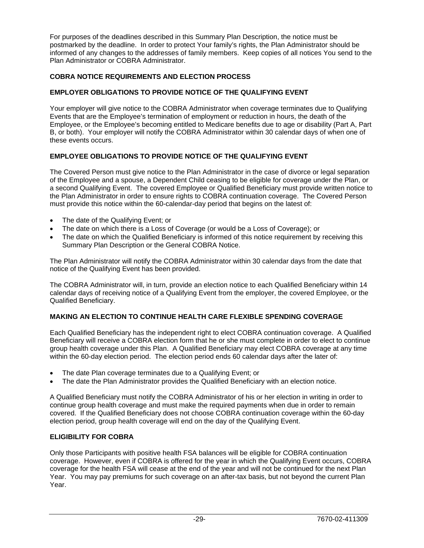For purposes of the deadlines described in this Summary Plan Description, the notice must be postmarked by the deadline. In order to protect Your family's rights, the Plan Administrator should be informed of any changes to the addresses of family members. Keep copies of all notices You send to the Plan Administrator or COBRA Administrator.

# **COBRA NOTICE REQUIREMENTS AND ELECTION PROCESS**

# **EMPLOYER OBLIGATIONS TO PROVIDE NOTICE OF THE QUALIFYING EVENT**

Your employer will give notice to the COBRA Administrator when coverage terminates due to Qualifying Events that are the Employee's termination of employment or reduction in hours, the death of the Employee, or the Employee's becoming entitled to Medicare benefits due to age or disability (Part A, Part B, or both). Your employer will notify the COBRA Administrator within 30 calendar days of when one of these events occurs.

# **EMPLOYEE OBLIGATIONS TO PROVIDE NOTICE OF THE QUALIFYING EVENT**

The Covered Person must give notice to the Plan Administrator in the case of divorce or legal separation of the Employee and a spouse, a Dependent Child ceasing to be eligible for coverage under the Plan, or a second Qualifying Event. The covered Employee or Qualified Beneficiary must provide written notice to the Plan Administrator in order to ensure rights to COBRA continuation coverage. The Covered Person must provide this notice within the 60-calendar-day period that begins on the latest of:

- The date of the Qualifying Event; or
- The date on which there is a Loss of Coverage (or would be a Loss of Coverage); or
- The date on which the Qualified Beneficiary is informed of this notice requirement by receiving this Summary Plan Description or the General COBRA Notice.

The Plan Administrator will notify the COBRA Administrator within 30 calendar days from the date that notice of the Qualifying Event has been provided.

The COBRA Administrator will, in turn, provide an election notice to each Qualified Beneficiary within 14 calendar days of receiving notice of a Qualifying Event from the employer, the covered Employee, or the Qualified Beneficiary.

# **MAKING AN ELECTION TO CONTINUE HEALTH CARE FLEXIBLE SPENDING COVERAGE**

Each Qualified Beneficiary has the independent right to elect COBRA continuation coverage. A Qualified Beneficiary will receive a COBRA election form that he or she must complete in order to elect to continue group health coverage under this Plan. A Qualified Beneficiary may elect COBRA coverage at any time within the 60-day election period. The election period ends 60 calendar days after the later of:

- The date Plan coverage terminates due to a Qualifying Event; or
- The date the Plan Administrator provides the Qualified Beneficiary with an election notice.

A Qualified Beneficiary must notify the COBRA Administrator of his or her election in writing in order to continue group health coverage and must make the required payments when due in order to remain covered. If the Qualified Beneficiary does not choose COBRA continuation coverage within the 60-day election period, group health coverage will end on the day of the Qualifying Event.

#### **ELIGIBILITY FOR COBRA**

Only those Participants with positive health FSA balances will be eligible for COBRA continuation coverage. However, even if COBRA is offered for the year in which the Qualifying Event occurs, COBRA coverage for the health FSA will cease at the end of the year and will not be continued for the next Plan Year. You may pay premiums for such coverage on an after-tax basis, but not beyond the current Plan Year.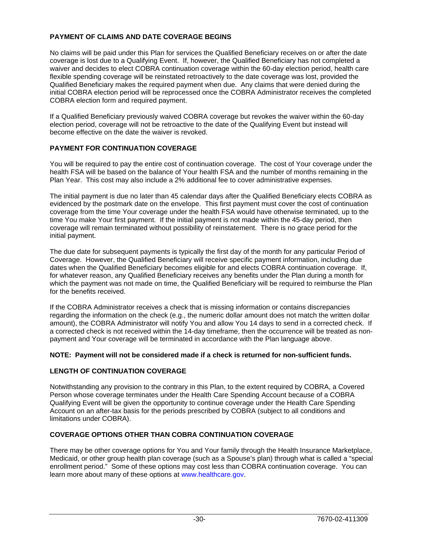# **PAYMENT OF CLAIMS AND DATE COVERAGE BEGINS**

No claims will be paid under this Plan for services the Qualified Beneficiary receives on or after the date coverage is lost due to a Qualifying Event. If, however, the Qualified Beneficiary has not completed a waiver and decides to elect COBRA continuation coverage within the 60-day election period, health care flexible spending coverage will be reinstated retroactively to the date coverage was lost, provided the Qualified Beneficiary makes the required payment when due. Any claims that were denied during the initial COBRA election period will be reprocessed once the COBRA Administrator receives the completed COBRA election form and required payment.

If a Qualified Beneficiary previously waived COBRA coverage but revokes the waiver within the 60-day election period, coverage will not be retroactive to the date of the Qualifying Event but instead will become effective on the date the waiver is revoked.

# **PAYMENT FOR CONTINUATION COVERAGE**

You will be required to pay the entire cost of continuation coverage. The cost of Your coverage under the health FSA will be based on the balance of Your health FSA and the number of months remaining in the Plan Year. This cost may also include a 2% additional fee to cover administrative expenses.

The initial payment is due no later than 45 calendar days after the Qualified Beneficiary elects COBRA as evidenced by the postmark date on the envelope. This first payment must cover the cost of continuation coverage from the time Your coverage under the health FSA would have otherwise terminated, up to the time You make Your first payment. If the initial payment is not made within the 45-day period, then coverage will remain terminated without possibility of reinstatement. There is no grace period for the initial payment.

The due date for subsequent payments is typically the first day of the month for any particular Period of Coverage. However, the Qualified Beneficiary will receive specific payment information, including due dates when the Qualified Beneficiary becomes eligible for and elects COBRA continuation coverage. If, for whatever reason, any Qualified Beneficiary receives any benefits under the Plan during a month for which the payment was not made on time, the Qualified Beneficiary will be required to reimburse the Plan for the benefits received.

If the COBRA Administrator receives a check that is missing information or contains discrepancies regarding the information on the check (e.g., the numeric dollar amount does not match the written dollar amount), the COBRA Administrator will notify You and allow You 14 days to send in a corrected check. If a corrected check is not received within the 14-day timeframe, then the occurrence will be treated as nonpayment and Your coverage will be terminated in accordance with the Plan language above.

# **NOTE: Payment will not be considered made if a check is returned for non-sufficient funds.**

# **LENGTH OF CONTINUATION COVERAGE**

Notwithstanding any provision to the contrary in this Plan, to the extent required by COBRA, a Covered Person whose coverage terminates under the Health Care Spending Account because of a COBRA Qualifying Event will be given the opportunity to continue coverage under the Health Care Spending Account on an after-tax basis for the periods prescribed by COBRA (subject to all conditions and limitations under COBRA).

# **COVERAGE OPTIONS OTHER THAN COBRA CONTINUATION COVERAGE**

There may be other coverage options for You and Your family through the Health Insurance Marketplace, Medicaid, or other group health plan coverage (such as a Spouse's plan) through what is called a "special enrollment period." Some of these options may cost less than COBRA continuation coverage. You can learn more about many of these options at www.healthcare.gov.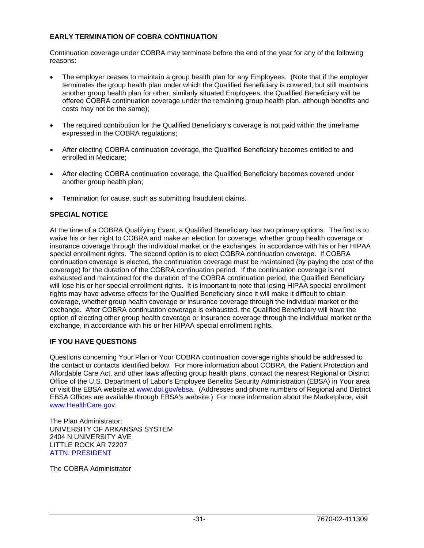### **EARLY TERMINATION OF COBRA CONTINUATION**

Continuation coverage under COBRA may terminate before the end of the year for any of the following reasons:

- The employer ceases to maintain a group health plan for any Employees. (Note that if the employer terminates the group health plan under which the Qualified Beneficiary is covered, but still maintains another group health plan for other, similarly situated Employees, the Qualified Beneficiary will be offered COBRA continuation coverage under the remaining group health plan, although benefits and costs may not be the same);
- The required contribution for the Qualified Beneficiary's coverage is not paid within the timeframe expressed in the COBRA regulations;
- After electing COBRA continuation coverage, the Qualified Beneficiary becomes entitled to and enrolled in Medicare;
- After electing COBRA continuation coverage, the Qualified Beneficiary becomes covered under another group health plan;
- Termination for cause, such as submitting fraudulent claims.

#### **SPECIAL NOTICE**

At the time of a COBRA Qualifying Event, a Qualified Beneficiary has two primary options. The first is to waive his or her right to COBRA and make an election for coverage, whether group health coverage or insurance coverage through the individual market or the exchanges, in accordance with his or her HIPAA special enrollment rights. The second option is to elect COBRA continuation coverage. If COBRA continuation coverage is elected, the continuation coverage must be maintained (by paying the cost of the coverage) for the duration of the COBRA continuation period. If the continuation coverage is not exhausted and maintained for the duration of the COBRA continuation period, the Qualified Beneficiary will lose his or her special enrollment rights. It is important to note that losing HIPAA special enrollment rights may have adverse effects for the Qualified Beneficiary since it will make it difficult to obtain coverage, whether group health coverage or insurance coverage through the individual market or the exchange. After COBRA continuation coverage is exhausted, the Qualified Beneficiary will have the option of electing other group health coverage or insurance coverage through the individual market or the exchange, in accordance with his or her HIPAA special enrollment rights.

#### **IF YOU HAVE QUESTIONS**

Questions concerning Your Plan or Your COBRA continuation coverage rights should be addressed to the contact or contacts identified below. For more information about COBRA, the Patient Protection and Affordable Care Act, and other laws affecting group health plans, contact the nearest Regional or District Office of the U.S. Department of Labor's Employee Benefits Security Administration (EBSA) in Your area or visit the EBSA website at www.dol.gov/ebsa. (Addresses and phone numbers of Regional and District EBSA Offices are available through EBSA's website.) For more information about the Marketplace, visit www.HealthCare.gov.

The Plan Administrator: UNIVERSITY OF ARKANSAS SYSTEM 2404 N UNIVERSITY AVE LITTLE ROCK AR 72207 ATTN: PRESIDENT

The COBRA Administrator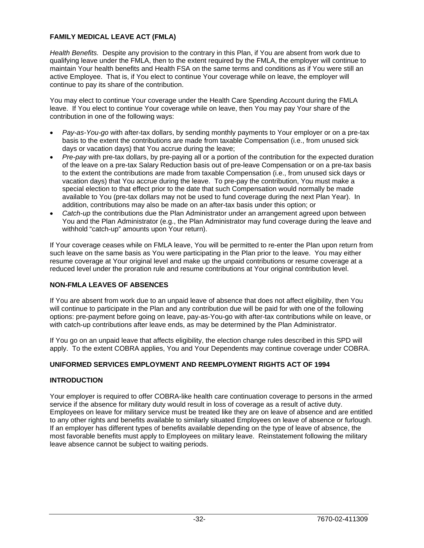# **FAMILY MEDICAL LEAVE ACT (FMLA)**

*Health Benefits.* Despite any provision to the contrary in this Plan, if You are absent from work due to qualifying leave under the FMLA, then to the extent required by the FMLA, the employer will continue to maintain Your health benefits and Health FSA on the same terms and conditions as if You were still an active Employee. That is, if You elect to continue Your coverage while on leave, the employer will continue to pay its share of the contribution.

You may elect to continue Your coverage under the Health Care Spending Account during the FMLA leave. If You elect to continue Your coverage while on leave, then You may pay Your share of the contribution in one of the following ways:

- *Pay-as-You-go* with after-tax dollars, by sending monthly payments to Your employer or on a pre-tax basis to the extent the contributions are made from taxable Compensation (i.e., from unused sick days or vacation days) that You accrue during the leave;
- *Pre-pay* with pre-tax dollars, by pre-paying all or a portion of the contribution for the expected duration of the leave on a pre-tax Salary Reduction basis out of pre-leave Compensation or on a pre-tax basis to the extent the contributions are made from taxable Compensation (i.e., from unused sick days or vacation days) that You accrue during the leave. To pre-pay the contribution, You must make a special election to that effect prior to the date that such Compensation would normally be made available to You (pre-tax dollars may not be used to fund coverage during the next Plan Year). In addition, contributions may also be made on an after-tax basis under this option; or
- *Catch-up* the contributions due the Plan Administrator under an arrangement agreed upon between You and the Plan Administrator (e.g., the Plan Administrator may fund coverage during the leave and withhold "catch-up" amounts upon Your return).

If Your coverage ceases while on FMLA leave, You will be permitted to re-enter the Plan upon return from such leave on the same basis as You were participating in the Plan prior to the leave. You may either resume coverage at Your original level and make up the unpaid contributions or resume coverage at a reduced level under the proration rule and resume contributions at Your original contribution level.

# **NON-FMLA LEAVES OF ABSENCES**

If You are absent from work due to an unpaid leave of absence that does not affect eligibility, then You will continue to participate in the Plan and any contribution due will be paid for with one of the following options: pre-payment before going on leave, pay-as-You-go with after-tax contributions while on leave, or with catch-up contributions after leave ends, as may be determined by the Plan Administrator.

If You go on an unpaid leave that affects eligibility, the election change rules described in this SPD will apply. To the extent COBRA applies, You and Your Dependents may continue coverage under COBRA.

# **UNIFORMED SERVICES EMPLOYMENT AND REEMPLOYMENT RIGHTS ACT OF 1994**

# **INTRODUCTION**

Your employer is required to offer COBRA-like health care continuation coverage to persons in the armed service if the absence for military duty would result in loss of coverage as a result of active duty. Employees on leave for military service must be treated like they are on leave of absence and are entitled to any other rights and benefits available to similarly situated Employees on leave of absence or furlough. If an employer has different types of benefits available depending on the type of leave of absence, the most favorable benefits must apply to Employees on military leave. Reinstatement following the military leave absence cannot be subject to waiting periods.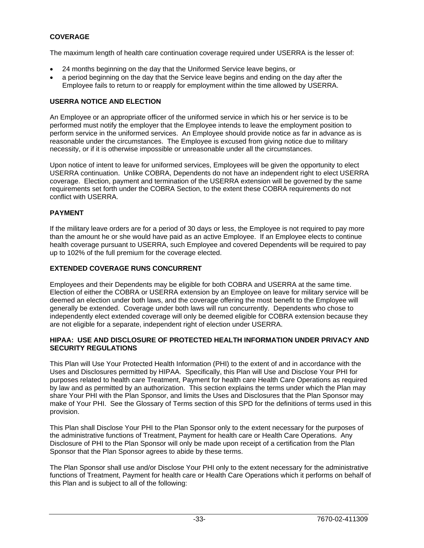#### **COVERAGE**

The maximum length of health care continuation coverage required under USERRA is the lesser of:

- 24 months beginning on the day that the Uniformed Service leave begins, or
- a period beginning on the day that the Service leave begins and ending on the day after the Employee fails to return to or reapply for employment within the time allowed by USERRA.

#### **USERRA NOTICE AND ELECTION**

An Employee or an appropriate officer of the uniformed service in which his or her service is to be performed must notify the employer that the Employee intends to leave the employment position to perform service in the uniformed services. An Employee should provide notice as far in advance as is reasonable under the circumstances. The Employee is excused from giving notice due to military necessity, or if it is otherwise impossible or unreasonable under all the circumstances.

Upon notice of intent to leave for uniformed services, Employees will be given the opportunity to elect USERRA continuation. Unlike COBRA, Dependents do not have an independent right to elect USERRA coverage. Election, payment and termination of the USERRA extension will be governed by the same requirements set forth under the COBRA Section, to the extent these COBRA requirements do not conflict with USERRA.

#### **PAYMENT**

If the military leave orders are for a period of 30 days or less, the Employee is not required to pay more than the amount he or she would have paid as an active Employee. If an Employee elects to continue health coverage pursuant to USERRA, such Employee and covered Dependents will be required to pay up to 102% of the full premium for the coverage elected.

#### **EXTENDED COVERAGE RUNS CONCURRENT**

Employees and their Dependents may be eligible for both COBRA and USERRA at the same time. Election of either the COBRA or USERRA extension by an Employee on leave for military service will be deemed an election under both laws, and the coverage offering the most benefit to the Employee will generally be extended. Coverage under both laws will run concurrently. Dependents who chose to independently elect extended coverage will only be deemed eligible for COBRA extension because they are not eligible for a separate, independent right of election under USERRA.

#### **HIPAA: USE AND DISCLOSURE OF PROTECTED HEALTH INFORMATION UNDER PRIVACY AND SECURITY REGULATIONS**

This Plan will Use Your Protected Health Information (PHI) to the extent of and in accordance with the Uses and Disclosures permitted by HIPAA. Specifically, this Plan will Use and Disclose Your PHI for purposes related to health care Treatment, Payment for health care Health Care Operations as required by law and as permitted by an authorization. This section explains the terms under which the Plan may share Your PHI with the Plan Sponsor, and limits the Uses and Disclosures that the Plan Sponsor may make of Your PHI. See the Glossary of Terms section of this SPD for the definitions of terms used in this provision.

This Plan shall Disclose Your PHI to the Plan Sponsor only to the extent necessary for the purposes of the administrative functions of Treatment, Payment for health care or Health Care Operations. Any Disclosure of PHI to the Plan Sponsor will only be made upon receipt of a certification from the Plan Sponsor that the Plan Sponsor agrees to abide by these terms.

The Plan Sponsor shall use and/or Disclose Your PHI only to the extent necessary for the administrative functions of Treatment, Payment for health care or Health Care Operations which it performs on behalf of this Plan and is subject to all of the following: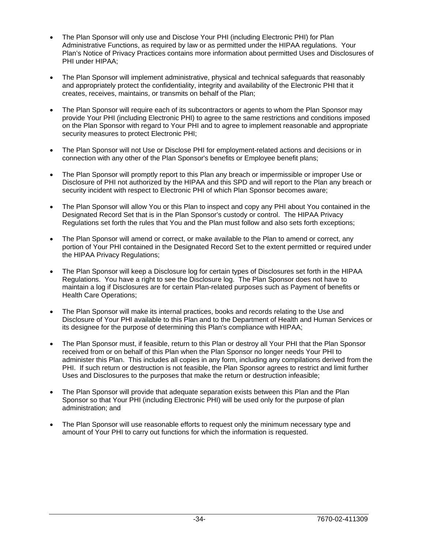- The Plan Sponsor will only use and Disclose Your PHI (including Electronic PHI) for Plan Administrative Functions, as required by law or as permitted under the HIPAA regulations. Your Plan's Notice of Privacy Practices contains more information about permitted Uses and Disclosures of PHI under HIPAA;
- The Plan Sponsor will implement administrative, physical and technical safeguards that reasonably and appropriately protect the confidentiality, integrity and availability of the Electronic PHI that it creates, receives, maintains, or transmits on behalf of the Plan;
- The Plan Sponsor will require each of its subcontractors or agents to whom the Plan Sponsor may provide Your PHI (including Electronic PHI) to agree to the same restrictions and conditions imposed on the Plan Sponsor with regard to Your PHI and to agree to implement reasonable and appropriate security measures to protect Electronic PHI;
- The Plan Sponsor will not Use or Disclose PHI for employment-related actions and decisions or in connection with any other of the Plan Sponsor's benefits or Employee benefit plans;
- The Plan Sponsor will promptly report to this Plan any breach or impermissible or improper Use or Disclosure of PHI not authorized by the HIPAA and this SPD and will report to the Plan any breach or security incident with respect to Electronic PHI of which Plan Sponsor becomes aware;
- The Plan Sponsor will allow You or this Plan to inspect and copy any PHI about You contained in the Designated Record Set that is in the Plan Sponsor's custody or control. The HIPAA Privacy Regulations set forth the rules that You and the Plan must follow and also sets forth exceptions;
- The Plan Sponsor will amend or correct, or make available to the Plan to amend or correct, any portion of Your PHI contained in the Designated Record Set to the extent permitted or required under the HIPAA Privacy Regulations;
- The Plan Sponsor will keep a Disclosure log for certain types of Disclosures set forth in the HIPAA Regulations. You have a right to see the Disclosure log. The Plan Sponsor does not have to maintain a log if Disclosures are for certain Plan-related purposes such as Payment of benefits or Health Care Operations;
- The Plan Sponsor will make its internal practices, books and records relating to the Use and Disclosure of Your PHI available to this Plan and to the Department of Health and Human Services or its designee for the purpose of determining this Plan's compliance with HIPAA;
- The Plan Sponsor must, if feasible, return to this Plan or destroy all Your PHI that the Plan Sponsor received from or on behalf of this Plan when the Plan Sponsor no longer needs Your PHI to administer this Plan. This includes all copies in any form, including any compilations derived from the PHI. If such return or destruction is not feasible, the Plan Sponsor agrees to restrict and limit further Uses and Disclosures to the purposes that make the return or destruction infeasible;
- The Plan Sponsor will provide that adequate separation exists between this Plan and the Plan Sponsor so that Your PHI (including Electronic PHI) will be used only for the purpose of plan administration; and
- The Plan Sponsor will use reasonable efforts to request only the minimum necessary type and amount of Your PHI to carry out functions for which the information is requested.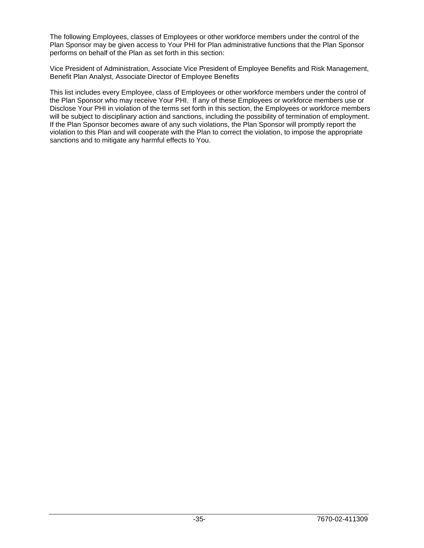The following Employees, classes of Employees or other workforce members under the control of the Plan Sponsor may be given access to Your PHI for Plan administrative functions that the Plan Sponsor performs on behalf of the Plan as set forth in this section:

Vice President of Administration, Associate Vice President of Employee Benefits and Risk Management, Benefit Plan Analyst, Associate Director of Employee Benefits

This list includes every Employee, class of Employees or other workforce members under the control of the Plan Sponsor who may receive Your PHI. If any of these Employees or workforce members use or Disclose Your PHI in violation of the terms set forth in this section, the Employees or workforce members will be subject to disciplinary action and sanctions, including the possibility of termination of employment. If the Plan Sponsor becomes aware of any such violations, the Plan Sponsor will promptly report the violation to this Plan and will cooperate with the Plan to correct the violation, to impose the appropriate sanctions and to mitigate any harmful effects to You.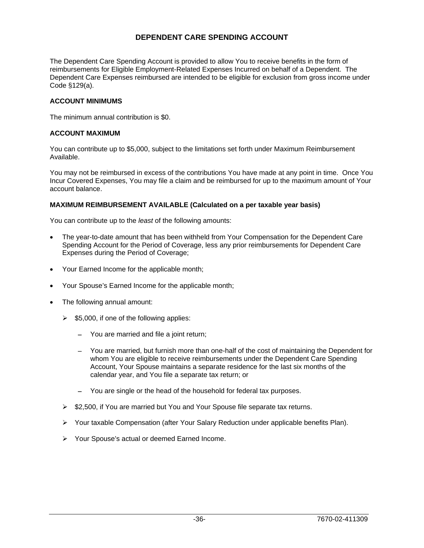# **DEPENDENT CARE SPENDING ACCOUNT**

The Dependent Care Spending Account is provided to allow You to receive benefits in the form of reimbursements for Eligible Employment-Related Expenses Incurred on behalf of a Dependent. The Dependent Care Expenses reimbursed are intended to be eligible for exclusion from gross income under Code §129(a).

#### **ACCOUNT MINIMUMS**

The minimum annual contribution is \$0.

#### **ACCOUNT MAXIMUM**

You can contribute up to \$5,000, subject to the limitations set forth under Maximum Reimbursement Available.

You may not be reimbursed in excess of the contributions You have made at any point in time. Once You Incur Covered Expenses, You may file a claim and be reimbursed for up to the maximum amount of Your account balance.

#### **MAXIMUM REIMBURSEMENT AVAILABLE (Calculated on a per taxable year basis)**

You can contribute up to the *least* of the following amounts:

- The year-to-date amount that has been withheld from Your Compensation for the Dependent Care Spending Account for the Period of Coverage, less any prior reimbursements for Dependent Care Expenses during the Period of Coverage;
- Your Earned Income for the applicable month;
- Your Spouse's Earned Income for the applicable month;
- The following annual amount:
	- $\geq$  \$5,000, if one of the following applies:
		- You are married and file a joint return;
		- You are married, but furnish more than one-half of the cost of maintaining the Dependent for whom You are eligible to receive reimbursements under the Dependent Care Spending Account, Your Spouse maintains a separate residence for the last six months of the calendar year, and You file a separate tax return; or
		- You are single or the head of the household for federal tax purposes.
	- $\triangleright$  \$2,500, if You are married but You and Your Spouse file separate tax returns.
	- $\triangleright$  Your taxable Compensation (after Your Salary Reduction under applicable benefits Plan).
	- Your Spouse's actual or deemed Earned Income.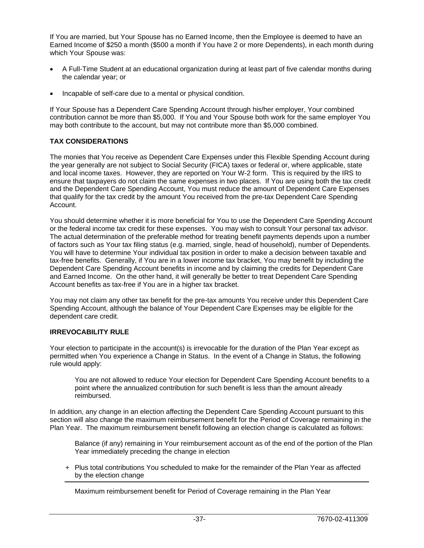If You are married, but Your Spouse has no Earned Income, then the Employee is deemed to have an Earned Income of \$250 a month (\$500 a month if You have 2 or more Dependents), in each month during which Your Spouse was:

- A Full-Time Student at an educational organization during at least part of five calendar months during the calendar year; or
- Incapable of self-care due to a mental or physical condition.

If Your Spouse has a Dependent Care Spending Account through his/her employer, Your combined contribution cannot be more than \$5,000. If You and Your Spouse both work for the same employer You may both contribute to the account, but may not contribute more than \$5,000 combined.

# **TAX CONSIDERATIONS**

The monies that You receive as Dependent Care Expenses under this Flexible Spending Account during the year generally are not subject to Social Security (FICA) taxes or federal or, where applicable, state and local income taxes. However, they are reported on Your W-2 form. This is required by the IRS to ensure that taxpayers do not claim the same expenses in two places. If You are using both the tax credit and the Dependent Care Spending Account, You must reduce the amount of Dependent Care Expenses that qualify for the tax credit by the amount You received from the pre-tax Dependent Care Spending Account.

You should determine whether it is more beneficial for You to use the Dependent Care Spending Account or the federal income tax credit for these expenses. You may wish to consult Your personal tax advisor. The actual determination of the preferable method for treating benefit payments depends upon a number of factors such as Your tax filing status (e.g. married, single, head of household), number of Dependents. You will have to determine Your individual tax position in order to make a decision between taxable and tax-free benefits. Generally, if You are in a lower income tax bracket, You may benefit by including the Dependent Care Spending Account benefits in income and by claiming the credits for Dependent Care and Earned Income. On the other hand, it will generally be better to treat Dependent Care Spending Account benefits as tax-free if You are in a higher tax bracket.

You may not claim any other tax benefit for the pre-tax amounts You receive under this Dependent Care Spending Account, although the balance of Your Dependent Care Expenses may be eligible for the dependent care credit.

# **IRREVOCABILITY RULE**

Your election to participate in the account(s) is irrevocable for the duration of the Plan Year except as permitted when You experience a Change in Status. In the event of a Change in Status, the following rule would apply:

You are not allowed to reduce Your election for Dependent Care Spending Account benefits to a point where the annualized contribution for such benefit is less than the amount already reimbursed.

In addition, any change in an election affecting the Dependent Care Spending Account pursuant to this section will also change the maximum reimbursement benefit for the Period of Coverage remaining in the Plan Year. The maximum reimbursement benefit following an election change is calculated as follows:

Balance (if any) remaining in Your reimbursement account as of the end of the portion of the Plan Year immediately preceding the change in election

+ Plus total contributions You scheduled to make for the remainder of the Plan Year as affected by the election change

Maximum reimbursement benefit for Period of Coverage remaining in the Plan Year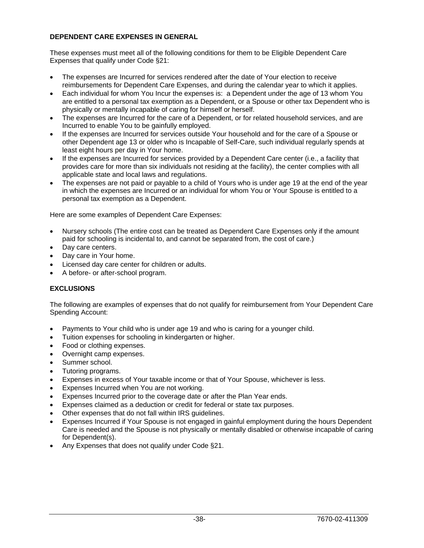#### **DEPENDENT CARE EXPENSES IN GENERAL**

These expenses must meet all of the following conditions for them to be Eligible Dependent Care Expenses that qualify under Code §21:

- The expenses are Incurred for services rendered after the date of Your election to receive reimbursements for Dependent Care Expenses, and during the calendar year to which it applies.
- Each individual for whom You Incur the expenses is: a Dependent under the age of 13 whom You are entitled to a personal tax exemption as a Dependent, or a Spouse or other tax Dependent who is physically or mentally incapable of caring for himself or herself.
- The expenses are Incurred for the care of a Dependent, or for related household services, and are Incurred to enable You to be gainfully employed.
- If the expenses are Incurred for services outside Your household and for the care of a Spouse or other Dependent age 13 or older who is Incapable of Self-Care, such individual regularly spends at least eight hours per day in Your home.
- If the expenses are Incurred for services provided by a Dependent Care center (i.e., a facility that provides care for more than six individuals not residing at the facility), the center complies with all applicable state and local laws and regulations.
- The expenses are not paid or payable to a child of Yours who is under age 19 at the end of the year in which the expenses are Incurred or an individual for whom You or Your Spouse is entitled to a personal tax exemption as a Dependent.

Here are some examples of Dependent Care Expenses:

- Nursery schools (The entire cost can be treated as Dependent Care Expenses only if the amount paid for schooling is incidental to, and cannot be separated from, the cost of care.)
- Day care centers.
- Day care in Your home.
- Licensed day care center for children or adults.
- A before- or after-school program.

#### **EXCLUSIONS**

The following are examples of expenses that do not qualify for reimbursement from Your Dependent Care Spending Account:

- Payments to Your child who is under age 19 and who is caring for a younger child.
- Tuition expenses for schooling in kindergarten or higher.
- Food or clothing expenses.
- Overnight camp expenses.
- Summer school.
- Tutoring programs.
- Expenses in excess of Your taxable income or that of Your Spouse, whichever is less.
- Expenses Incurred when You are not working.
- Expenses Incurred prior to the coverage date or after the Plan Year ends.
- Expenses claimed as a deduction or credit for federal or state tax purposes.
- Other expenses that do not fall within IRS guidelines.
- Expenses Incurred if Your Spouse is not engaged in gainful employment during the hours Dependent Care is needed and the Spouse is not physically or mentally disabled or otherwise incapable of caring for Dependent(s).
- Any Expenses that does not qualify under Code §21.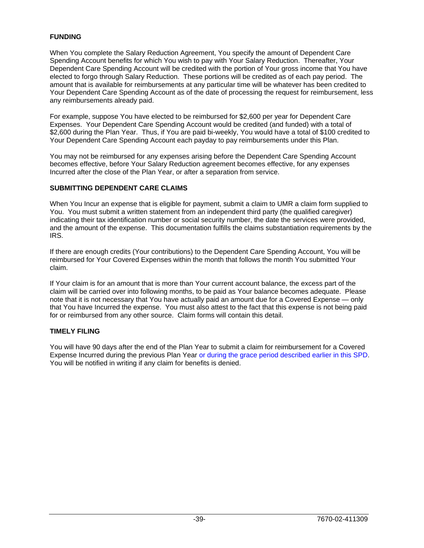# **FUNDING**

When You complete the Salary Reduction Agreement, You specify the amount of Dependent Care Spending Account benefits for which You wish to pay with Your Salary Reduction. Thereafter, Your Dependent Care Spending Account will be credited with the portion of Your gross income that You have elected to forgo through Salary Reduction. These portions will be credited as of each pay period. The amount that is available for reimbursements at any particular time will be whatever has been credited to Your Dependent Care Spending Account as of the date of processing the request for reimbursement, less any reimbursements already paid.

For example, suppose You have elected to be reimbursed for \$2,600 per year for Dependent Care Expenses. Your Dependent Care Spending Account would be credited (and funded) with a total of \$2,600 during the Plan Year. Thus, if You are paid bi-weekly, You would have a total of \$100 credited to Your Dependent Care Spending Account each payday to pay reimbursements under this Plan.

You may not be reimbursed for any expenses arising before the Dependent Care Spending Account becomes effective, before Your Salary Reduction agreement becomes effective, for any expenses Incurred after the close of the Plan Year, or after a separation from service.

#### **SUBMITTING DEPENDENT CARE CLAIMS**

When You Incur an expense that is eligible for payment, submit a claim to UMR a claim form supplied to You. You must submit a written statement from an independent third party (the qualified caregiver) indicating their tax identification number or social security number, the date the services were provided, and the amount of the expense. This documentation fulfills the claims substantiation requirements by the IRS.

If there are enough credits (Your contributions) to the Dependent Care Spending Account, You will be reimbursed for Your Covered Expenses within the month that follows the month You submitted Your claim.

If Your claim is for an amount that is more than Your current account balance, the excess part of the claim will be carried over into following months, to be paid as Your balance becomes adequate. Please note that it is not necessary that You have actually paid an amount due for a Covered Expense — only that You have Incurred the expense. You must also attest to the fact that this expense is not being paid for or reimbursed from any other source. Claim forms will contain this detail.

#### **TIMELY FILING**

You will have 90 days after the end of the Plan Year to submit a claim for reimbursement for a Covered Expense Incurred during the previous Plan Year or during the grace period described earlier in this SPD. You will be notified in writing if any claim for benefits is denied.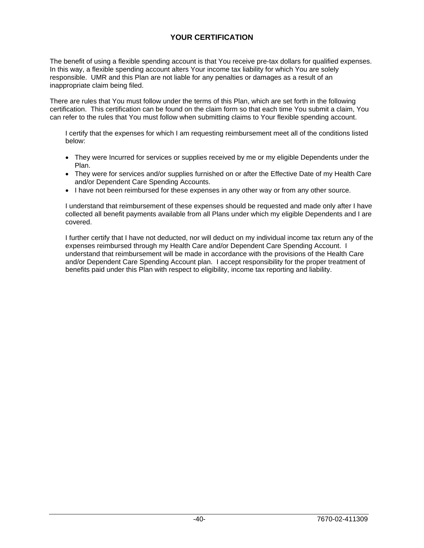# **YOUR CERTIFICATION**

The benefit of using a flexible spending account is that You receive pre-tax dollars for qualified expenses. In this way, a flexible spending account alters Your income tax liability for which You are solely responsible. UMR and this Plan are not liable for any penalties or damages as a result of an inappropriate claim being filed.

There are rules that You must follow under the terms of this Plan, which are set forth in the following certification. This certification can be found on the claim form so that each time You submit a claim, You can refer to the rules that You must follow when submitting claims to Your flexible spending account.

I certify that the expenses for which I am requesting reimbursement meet all of the conditions listed below:

- They were Incurred for services or supplies received by me or my eligible Dependents under the Plan.
- They were for services and/or supplies furnished on or after the Effective Date of my Health Care and/or Dependent Care Spending Accounts.
- I have not been reimbursed for these expenses in any other way or from any other source.

I understand that reimbursement of these expenses should be requested and made only after I have collected all benefit payments available from all Plans under which my eligible Dependents and I are covered.

I further certify that I have not deducted, nor will deduct on my individual income tax return any of the expenses reimbursed through my Health Care and/or Dependent Care Spending Account. I understand that reimbursement will be made in accordance with the provisions of the Health Care and/or Dependent Care Spending Account plan. I accept responsibility for the proper treatment of benefits paid under this Plan with respect to eligibility, income tax reporting and liability.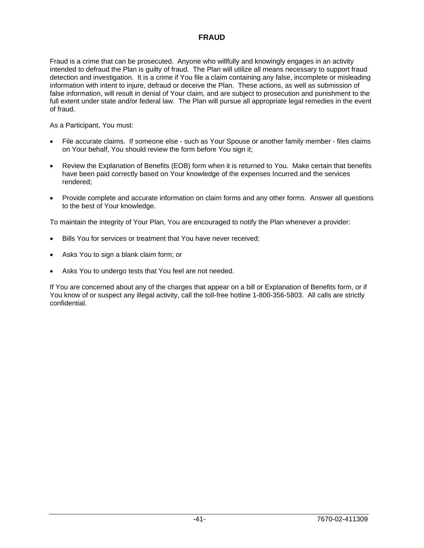# **FRAUD**

Fraud is a crime that can be prosecuted. Anyone who willfully and knowingly engages in an activity intended to defraud the Plan is guilty of fraud. The Plan will utilize all means necessary to support fraud detection and investigation. It is a crime if You file a claim containing any false, incomplete or misleading information with intent to injure, defraud or deceive the Plan. These actions, as well as submission of false information, will result in denial of Your claim, and are subject to prosecution and punishment to the full extent under state and/or federal law. The Plan will pursue all appropriate legal remedies in the event of fraud.

As a Participant, You must:

- File accurate claims. If someone else such as Your Spouse or another family member files claims on Your behalf, You should review the form before You sign it;
- Review the Explanation of Benefits (EOB) form when it is returned to You. Make certain that benefits have been paid correctly based on Your knowledge of the expenses Incurred and the services rendered;
- Provide complete and accurate information on claim forms and any other forms. Answer all questions to the best of Your knowledge.

To maintain the integrity of Your Plan, You are encouraged to notify the Plan whenever a provider:

- Bills You for services or treatment that You have never received;
- Asks You to sign a blank claim form; or
- Asks You to undergo tests that You feel are not needed.

If You are concerned about any of the charges that appear on a bill or Explanation of Benefits form, or if You know of or suspect any illegal activity, call the toll-free hotline 1-800-356-5803. All calls are strictly confidential.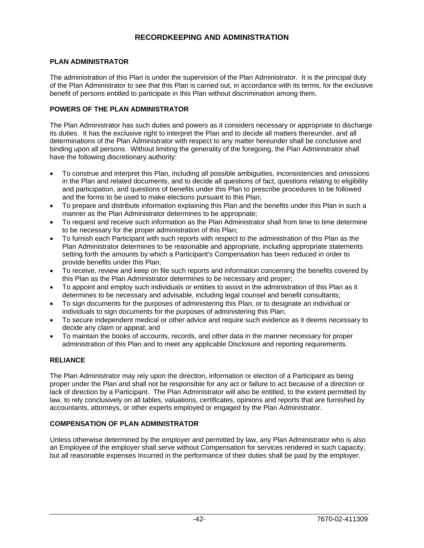# **RECORDKEEPING AND ADMINISTRATION**

#### **PLAN ADMINISTRATOR**

The administration of this Plan is under the supervision of the Plan Administrator. It is the principal duty of the Plan Administrator to see that this Plan is carried out, in accordance with its terms, for the exclusive benefit of persons entitled to participate in this Plan without discrimination among them.

#### **POWERS OF THE PLAN ADMINISTRATOR**

The Plan Administrator has such duties and powers as it considers necessary or appropriate to discharge its duties. It has the exclusive right to interpret the Plan and to decide all matters thereunder, and all determinations of the Plan Administrator with respect to any matter hereunder shall be conclusive and binding upon all persons. Without limiting the generality of the foregoing, the Plan Administrator shall have the following discretionary authority:

- To construe and interpret this Plan, including all possible ambiguities, inconsistencies and omissions in the Plan and related documents, and to decide all questions of fact, questions relating to eligibility and participation, and questions of benefits under this Plan to prescribe procedures to be followed and the forms to be used to make elections pursuant to this Plan;
- To prepare and distribute information explaining this Plan and the benefits under this Plan in such a manner as the Plan Administrator determines to be appropriate;
- To request and receive such information as the Plan Administrator shall from time to time determine to be necessary for the proper administration of this Plan;
- To furnish each Participant with such reports with respect to the administration of this Plan as the Plan Administrator determines to be reasonable and appropriate, including appropriate statements setting forth the amounts by which a Participant's Compensation has been reduced in order to provide benefits under this Plan;
- To receive, review and keep on file such reports and information concerning the benefits covered by this Plan as the Plan Administrator determines to be necessary and proper;
- To appoint and employ such individuals or entities to assist in the administration of this Plan as it determines to be necessary and advisable, including legal counsel and benefit consultants;
- To sign documents for the purposes of administering this Plan, or to designate an individual or individuals to sign documents for the purposes of administering this Plan;
- To secure independent medical or other advice and require such evidence as it deems necessary to decide any claim or appeal; and
- To maintain the books of accounts, records, and other data in the manner necessary for proper administration of this Plan and to meet any applicable Disclosure and reporting requirements.

#### **RELIANCE**

The Plan Administrator may rely upon the direction, information or election of a Participant as being proper under the Plan and shall not be responsible for any act or failure to act because of a direction or lack of direction by a Participant. The Plan Administrator will also be entitled, to the extent permitted by law, to rely conclusively on all tables, valuations, certificates, opinions and reports that are furnished by accountants, attorneys, or other experts employed or engaged by the Plan Administrator.

#### **COMPENSATION OF PLAN ADMINISTRATOR**

Unless otherwise determined by the employer and permitted by law, any Plan Administrator who is also an Employee of the employer shall serve without Compensation for services rendered in such capacity, but all reasonable expenses Incurred in the performance of their duties shall be paid by the employer.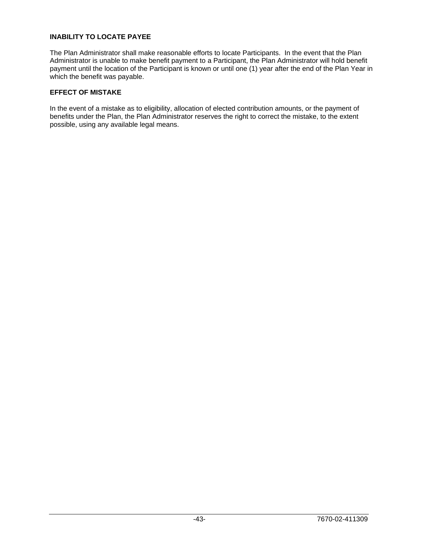#### **INABILITY TO LOCATE PAYEE**

The Plan Administrator shall make reasonable efforts to locate Participants. In the event that the Plan Administrator is unable to make benefit payment to a Participant, the Plan Administrator will hold benefit payment until the location of the Participant is known or until one (1) year after the end of the Plan Year in which the benefit was payable.

#### **EFFECT OF MISTAKE**

In the event of a mistake as to eligibility, allocation of elected contribution amounts, or the payment of benefits under the Plan, the Plan Administrator reserves the right to correct the mistake, to the extent possible, using any available legal means.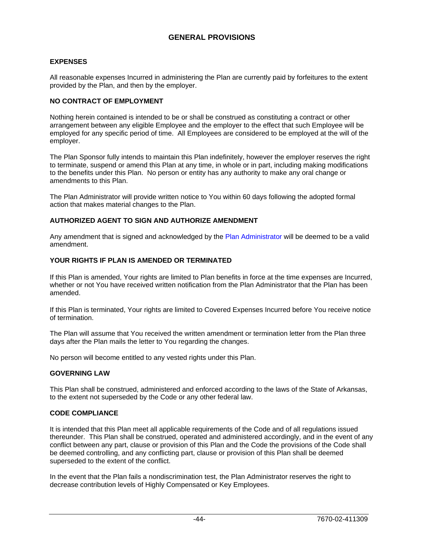#### **EXPENSES**

All reasonable expenses Incurred in administering the Plan are currently paid by forfeitures to the extent provided by the Plan, and then by the employer.

#### **NO CONTRACT OF EMPLOYMENT**

Nothing herein contained is intended to be or shall be construed as constituting a contract or other arrangement between any eligible Employee and the employer to the effect that such Employee will be employed for any specific period of time. All Employees are considered to be employed at the will of the employer.

The Plan Sponsor fully intends to maintain this Plan indefinitely, however the employer reserves the right to terminate, suspend or amend this Plan at any time, in whole or in part, including making modifications to the benefits under this Plan. No person or entity has any authority to make any oral change or amendments to this Plan.

The Plan Administrator will provide written notice to You within 60 days following the adopted formal action that makes material changes to the Plan.

#### **AUTHORIZED AGENT TO SIGN AND AUTHORIZE AMENDMENT**

Any amendment that is signed and acknowledged by the Plan Administrator will be deemed to be a valid amendment.

#### **YOUR RIGHTS IF PLAN IS AMENDED OR TERMINATED**

If this Plan is amended, Your rights are limited to Plan benefits in force at the time expenses are Incurred, whether or not You have received written notification from the Plan Administrator that the Plan has been amended.

If this Plan is terminated, Your rights are limited to Covered Expenses Incurred before You receive notice of termination.

The Plan will assume that You received the written amendment or termination letter from the Plan three days after the Plan mails the letter to You regarding the changes.

No person will become entitled to any vested rights under this Plan.

#### **GOVERNING LAW**

This Plan shall be construed, administered and enforced according to the laws of the State of Arkansas, to the extent not superseded by the Code or any other federal law.

#### **CODE COMPLIANCE**

It is intended that this Plan meet all applicable requirements of the Code and of all regulations issued thereunder. This Plan shall be construed, operated and administered accordingly, and in the event of any conflict between any part, clause or provision of this Plan and the Code the provisions of the Code shall be deemed controlling, and any conflicting part, clause or provision of this Plan shall be deemed superseded to the extent of the conflict.

In the event that the Plan fails a nondiscrimination test, the Plan Administrator reserves the right to decrease contribution levels of Highly Compensated or Key Employees.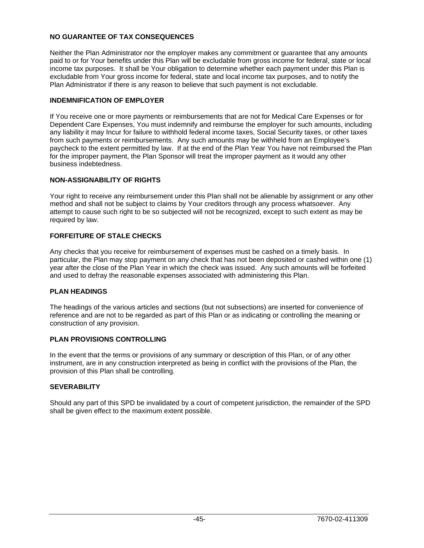#### **NO GUARANTEE OF TAX CONSEQUENCES**

Neither the Plan Administrator nor the employer makes any commitment or guarantee that any amounts paid to or for Your benefits under this Plan will be excludable from gross income for federal, state or local income tax purposes. It shall be Your obligation to determine whether each payment under this Plan is excludable from Your gross income for federal, state and local income tax purposes, and to notify the Plan Administrator if there is any reason to believe that such payment is not excludable.

#### **INDEMNIFICATION OF EMPLOYER**

If You receive one or more payments or reimbursements that are not for Medical Care Expenses or for Dependent Care Expenses, You must indemnify and reimburse the employer for such amounts, including any liability it may Incur for failure to withhold federal income taxes, Social Security taxes, or other taxes from such payments or reimbursements. Any such amounts may be withheld from an Employee's paycheck to the extent permitted by law. If at the end of the Plan Year You have not reimbursed the Plan for the improper payment, the Plan Sponsor will treat the improper payment as it would any other business indebtedness.

# **NON-ASSIGNABILITY OF RIGHTS**

Your right to receive any reimbursement under this Plan shall not be alienable by assignment or any other method and shall not be subject to claims by Your creditors through any process whatsoever. Any attempt to cause such right to be so subjected will not be recognized, except to such extent as may be required by law.

# **FORFEITURE OF STALE CHECKS**

Any checks that you receive for reimbursement of expenses must be cashed on a timely basis. In particular, the Plan may stop payment on any check that has not been deposited or cashed within one (1) year after the close of the Plan Year in which the check was issued. Any such amounts will be forfeited and used to defray the reasonable expenses associated with administering this Plan.

#### **PLAN HEADINGS**

The headings of the various articles and sections (but not subsections) are inserted for convenience of reference and are not to be regarded as part of this Plan or as indicating or controlling the meaning or construction of any provision.

#### **PLAN PROVISIONS CONTROLLING**

In the event that the terms or provisions of any summary or description of this Plan, or of any other instrument, are in any construction interpreted as being in conflict with the provisions of the Plan, the provision of this Plan shall be controlling.

#### **SEVERABILITY**

Should any part of this SPD be invalidated by a court of competent jurisdiction, the remainder of the SPD shall be given effect to the maximum extent possible.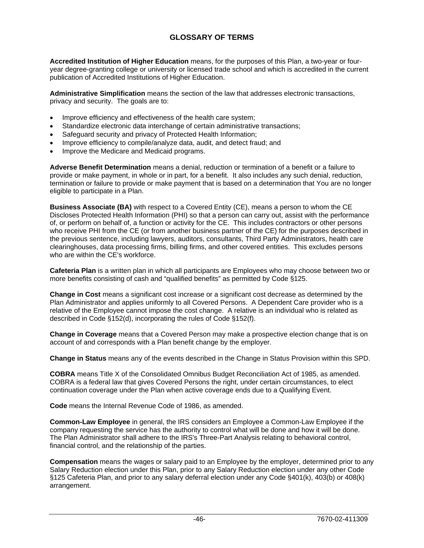# **GLOSSARY OF TERMS**

**Accredited Institution of Higher Education** means, for the purposes of this Plan, a two-year or fouryear degree-granting college or university or licensed trade school and which is accredited in the current publication of Accredited Institutions of Higher Education.

**Administrative Simplification** means the section of the law that addresses electronic transactions, privacy and security. The goals are to:

- Improve efficiency and effectiveness of the health care system;
- Standardize electronic data interchange of certain administrative transactions;
- Safeguard security and privacy of Protected Health Information;
- Improve efficiency to compile/analyze data, audit, and detect fraud; and
- Improve the Medicare and Medicaid programs.

**Adverse Benefit Determination** means a denial, reduction or termination of a benefit or a failure to provide or make payment, in whole or in part, for a benefit. It also includes any such denial, reduction, termination or failure to provide or make payment that is based on a determination that You are no longer eligible to participate in a Plan.

**Business Associate (BA)** with respect to a Covered Entity (CE), means a person to whom the CE Discloses Protected Health Information (PHI) so that a person can carry out, assist with the performance of, or perform on behalf of, a function or activity for the CE. This includes contractors or other persons who receive PHI from the CE (or from another business partner of the CE) for the purposes described in the previous sentence, including lawyers, auditors, consultants, Third Party Administrators, health care clearinghouses, data processing firms, billing firms, and other covered entities. This excludes persons who are within the CE's workforce.

**Cafeteria Plan** is a written plan in which all participants are Employees who may choose between two or more benefits consisting of cash and "qualified benefits" as permitted by Code §125.

**Change in Cost** means a significant cost increase or a significant cost decrease as determined by the Plan Administrator and applies uniformly to all Covered Persons. A Dependent Care provider who is a relative of the Employee cannot impose the cost change. A relative is an individual who is related as described in Code §152(d), incorporating the rules of Code §152(f).

**Change in Coverage** means that a Covered Person may make a prospective election change that is on account of and corresponds with a Plan benefit change by the employer.

**Change in Status** means any of the events described in the Change in Status Provision within this SPD.

**COBRA** means Title X of the Consolidated Omnibus Budget Reconciliation Act of 1985, as amended. COBRA is a federal law that gives Covered Persons the right, under certain circumstances, to elect continuation coverage under the Plan when active coverage ends due to a Qualifying Event.

**Code** means the Internal Revenue Code of 1986, as amended.

**Common-Law Employee** in general, the IRS considers an Employee a Common-Law Employee if the company requesting the service has the authority to control what will be done and how it will be done. The Plan Administrator shall adhere to the IRS's Three-Part Analysis relating to behavioral control, financial control, and the relationship of the parties.

**Compensation** means the wages or salary paid to an Employee by the employer, determined prior to any Salary Reduction election under this Plan, prior to any Salary Reduction election under any other Code §125 Cafeteria Plan, and prior to any salary deferral election under any Code §401(k), 403(b) or 408(k) arrangement.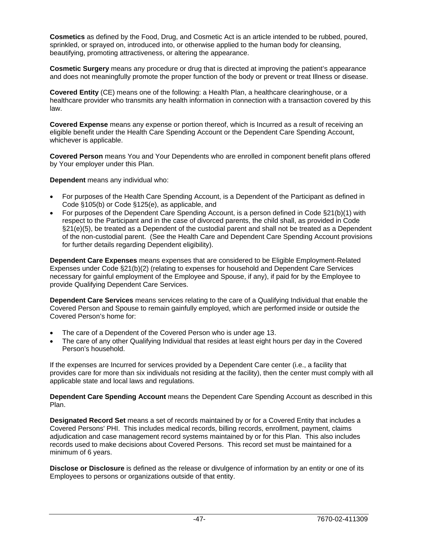**Cosmetics** as defined by the Food, Drug, and Cosmetic Act is an article intended to be rubbed, poured, sprinkled, or sprayed on, introduced into, or otherwise applied to the human body for cleansing, beautifying, promoting attractiveness, or altering the appearance.

**Cosmetic Surgery** means any procedure or drug that is directed at improving the patient's appearance and does not meaningfully promote the proper function of the body or prevent or treat Illness or disease.

**Covered Entity** (CE) means one of the following: a Health Plan, a healthcare clearinghouse, or a healthcare provider who transmits any health information in connection with a transaction covered by this law.

**Covered Expense** means any expense or portion thereof, which is Incurred as a result of receiving an eligible benefit under the Health Care Spending Account or the Dependent Care Spending Account, whichever is applicable.

**Covered Person** means You and Your Dependents who are enrolled in component benefit plans offered by Your employer under this Plan.

**Dependent** means any individual who:

- For purposes of the Health Care Spending Account, is a Dependent of the Participant as defined in Code §105(b) or Code §125(e), as applicable, and
- For purposes of the Dependent Care Spending Account, is a person defined in Code §21(b)(1) with respect to the Participant and in the case of divorced parents, the child shall, as provided in Code §21(e)(5), be treated as a Dependent of the custodial parent and shall not be treated as a Dependent of the non-custodial parent. (See the Health Care and Dependent Care Spending Account provisions for further details regarding Dependent eligibility).

**Dependent Care Expenses** means expenses that are considered to be Eligible Employment-Related Expenses under Code §21(b)(2) (relating to expenses for household and Dependent Care Services necessary for gainful employment of the Employee and Spouse, if any), if paid for by the Employee to provide Qualifying Dependent Care Services.

**Dependent Care Services** means services relating to the care of a Qualifying Individual that enable the Covered Person and Spouse to remain gainfully employed, which are performed inside or outside the Covered Person's home for:

- The care of a Dependent of the Covered Person who is under age 13.
- The care of any other Qualifying Individual that resides at least eight hours per day in the Covered Person's household.

If the expenses are Incurred for services provided by a Dependent Care center (i.e., a facility that provides care for more than six individuals not residing at the facility), then the center must comply with all applicable state and local laws and regulations.

**Dependent Care Spending Account** means the Dependent Care Spending Account as described in this Plan.

**Designated Record Set** means a set of records maintained by or for a Covered Entity that includes a Covered Persons' PHI. This includes medical records, billing records, enrollment, payment, claims adjudication and case management record systems maintained by or for this Plan. This also includes records used to make decisions about Covered Persons. This record set must be maintained for a minimum of 6 years.

**Disclose or Disclosure** is defined as the release or divulgence of information by an entity or one of its Employees to persons or organizations outside of that entity.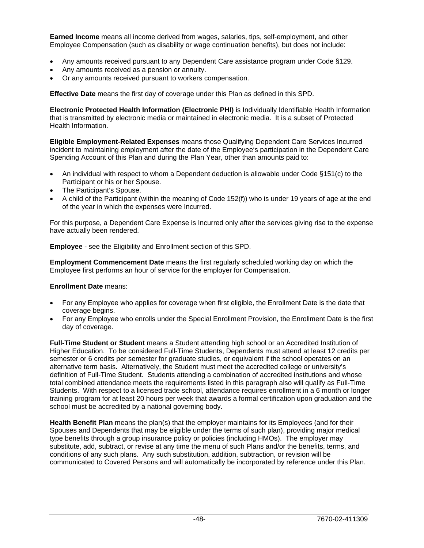**Earned Income** means all income derived from wages, salaries, tips, self-employment, and other Employee Compensation (such as disability or wage continuation benefits), but does not include:

- Any amounts received pursuant to any Dependent Care assistance program under Code §129.
- Any amounts received as a pension or annuity.
- Or any amounts received pursuant to workers compensation.

**Effective Date** means the first day of coverage under this Plan as defined in this SPD.

**Electronic Protected Health Information (Electronic PHI)** is Individually Identifiable Health Information that is transmitted by electronic media or maintained in electronic media. It is a subset of Protected Health Information.

**Eligible Employment-Related Expenses** means those Qualifying Dependent Care Services Incurred incident to maintaining employment after the date of the Employee's participation in the Dependent Care Spending Account of this Plan and during the Plan Year, other than amounts paid to:

- An individual with respect to whom a Dependent deduction is allowable under Code §151(c) to the Participant or his or her Spouse.
- The Participant's Spouse.
- A child of the Participant (within the meaning of Code 152(f)) who is under 19 years of age at the end of the year in which the expenses were Incurred.

For this purpose, a Dependent Care Expense is Incurred only after the services giving rise to the expense have actually been rendered.

**Employee** - see the Eligibility and Enrollment section of this SPD.

**Employment Commencement Date** means the first regularly scheduled working day on which the Employee first performs an hour of service for the employer for Compensation.

#### **Enrollment Date** means:

- For any Employee who applies for coverage when first eligible, the Enrollment Date is the date that coverage begins.
- For any Employee who enrolls under the Special Enrollment Provision, the Enrollment Date is the first day of coverage.

**Full-Time Student or Student** means a Student attending high school or an Accredited Institution of Higher Education. To be considered Full-Time Students, Dependents must attend at least 12 credits per semester or 6 credits per semester for graduate studies, or equivalent if the school operates on an alternative term basis. Alternatively, the Student must meet the accredited college or university's definition of Full-Time Student. Students attending a combination of accredited institutions and whose total combined attendance meets the requirements listed in this paragraph also will qualify as Full-Time Students. With respect to a licensed trade school, attendance requires enrollment in a 6 month or longer training program for at least 20 hours per week that awards a formal certification upon graduation and the school must be accredited by a national governing body.

**Health Benefit Plan** means the plan(s) that the employer maintains for its Employees (and for their Spouses and Dependents that may be eligible under the terms of such plan), providing major medical type benefits through a group insurance policy or policies (including HMOs). The employer may substitute, add, subtract, or revise at any time the menu of such Plans and/or the benefits, terms, and conditions of any such plans. Any such substitution, addition, subtraction, or revision will be communicated to Covered Persons and will automatically be incorporated by reference under this Plan.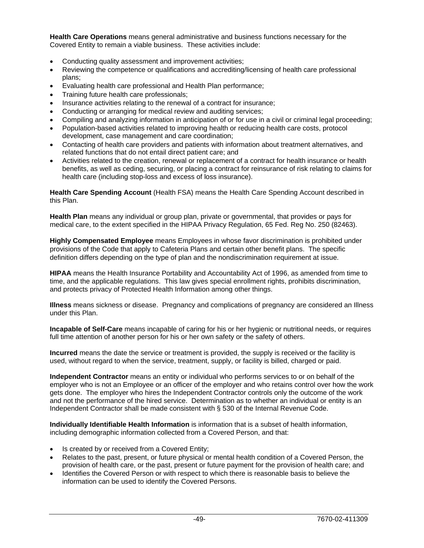**Health Care Operations** means general administrative and business functions necessary for the Covered Entity to remain a viable business. These activities include:

- Conducting quality assessment and improvement activities;
- Reviewing the competence or qualifications and accrediting/licensing of health care professional plans;
- Evaluating health care professional and Health Plan performance;
- Training future health care professionals;
- Insurance activities relating to the renewal of a contract for insurance;
- Conducting or arranging for medical review and auditing services;
- Compiling and analyzing information in anticipation of or for use in a civil or criminal legal proceeding;
- Population-based activities related to improving health or reducing health care costs, protocol development, case management and care coordination;
- Contacting of health care providers and patients with information about treatment alternatives, and related functions that do not entail direct patient care; and
- Activities related to the creation, renewal or replacement of a contract for health insurance or health benefits, as well as ceding, securing, or placing a contract for reinsurance of risk relating to claims for health care (including stop-loss and excess of loss insurance).

**Health Care Spending Account** (Health FSA) means the Health Care Spending Account described in this Plan.

**Health Plan** means any individual or group plan, private or governmental, that provides or pays for medical care, to the extent specified in the HIPAA Privacy Regulation, 65 Fed. Reg No. 250 (82463).

**Highly Compensated Employee** means Employees in whose favor discrimination is prohibited under provisions of the Code that apply to Cafeteria Plans and certain other benefit plans. The specific definition differs depending on the type of plan and the nondiscrimination requirement at issue.

**HIPAA** means the Health Insurance Portability and Accountability Act of 1996, as amended from time to time, and the applicable regulations. This law gives special enrollment rights, prohibits discrimination, and protects privacy of Protected Health Information among other things.

**Illness** means sickness or disease. Pregnancy and complications of pregnancy are considered an Illness under this Plan.

**Incapable of Self-Care** means incapable of caring for his or her hygienic or nutritional needs, or requires full time attention of another person for his or her own safety or the safety of others.

**Incurred** means the date the service or treatment is provided, the supply is received or the facility is used, without regard to when the service, treatment, supply, or facility is billed, charged or paid.

**Independent Contractor** means an entity or individual who performs services to or on behalf of the employer who is not an Employee or an officer of the employer and who retains control over how the work gets done. The employer who hires the Independent Contractor controls only the outcome of the work and not the performance of the hired service. Determination as to whether an individual or entity is an Independent Contractor shall be made consistent with § 530 of the Internal Revenue Code.

**Individually Identifiable Health Information** is information that is a subset of health information, including demographic information collected from a Covered Person, and that:

- Is created by or received from a Covered Entity;
- Relates to the past, present, or future physical or mental health condition of a Covered Person, the provision of health care, or the past, present or future payment for the provision of health care; and
- Identifies the Covered Person or with respect to which there is reasonable basis to believe the information can be used to identify the Covered Persons.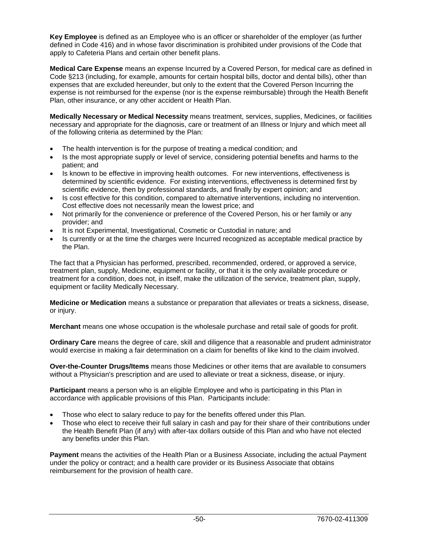**Key Employee** is defined as an Employee who is an officer or shareholder of the employer (as further defined in Code 416) and in whose favor discrimination is prohibited under provisions of the Code that apply to Cafeteria Plans and certain other benefit plans.

**Medical Care Expense** means an expense Incurred by a Covered Person, for medical care as defined in Code §213 (including, for example, amounts for certain hospital bills, doctor and dental bills), other than expenses that are excluded hereunder, but only to the extent that the Covered Person Incurring the expense is not reimbursed for the expense (nor is the expense reimbursable) through the Health Benefit Plan, other insurance, or any other accident or Health Plan.

**Medically Necessary or Medical Necessity** means treatment, services, supplies, Medicines, or facilities necessary and appropriate for the diagnosis, care or treatment of an Illness or Injury and which meet all of the following criteria as determined by the Plan:

- The health intervention is for the purpose of treating a medical condition; and
- Is the most appropriate supply or level of service, considering potential benefits and harms to the patient; and
- Is known to be effective in improving health outcomes. For new interventions, effectiveness is determined by scientific evidence. For existing interventions, effectiveness is determined first by scientific evidence, then by professional standards, and finally by expert opinion; and
- Is cost effective for this condition, compared to alternative interventions, including no intervention. Cost effective does not necessarily mean the lowest price; and
- Not primarily for the convenience or preference of the Covered Person, his or her family or any provider; and
- It is not Experimental, Investigational, Cosmetic or Custodial in nature; and
- Is currently or at the time the charges were Incurred recognized as acceptable medical practice by the Plan.

The fact that a Physician has performed, prescribed, recommended, ordered, or approved a service, treatment plan, supply, Medicine, equipment or facility, or that it is the only available procedure or treatment for a condition, does not, in itself, make the utilization of the service, treatment plan, supply, equipment or facility Medically Necessary.

**Medicine or Medication** means a substance or preparation that alleviates or treats a sickness, disease, or injury.

**Merchant** means one whose occupation is the wholesale purchase and retail sale of goods for profit.

**Ordinary Care** means the degree of care, skill and diligence that a reasonable and prudent administrator would exercise in making a fair determination on a claim for benefits of like kind to the claim involved.

**Over-the-Counter Drugs/Items** means those Medicines or other items that are available to consumers without a Physician's prescription and are used to alleviate or treat a sickness, disease, or injury.

**Participant** means a person who is an eligible Employee and who is participating in this Plan in accordance with applicable provisions of this Plan. Participants include:

- Those who elect to salary reduce to pay for the benefits offered under this Plan.
- Those who elect to receive their full salary in cash and pay for their share of their contributions under the Health Benefit Plan (if any) with after-tax dollars outside of this Plan and who have not elected any benefits under this Plan.

**Payment** means the activities of the Health Plan or a Business Associate, including the actual Payment under the policy or contract; and a health care provider or its Business Associate that obtains reimbursement for the provision of health care.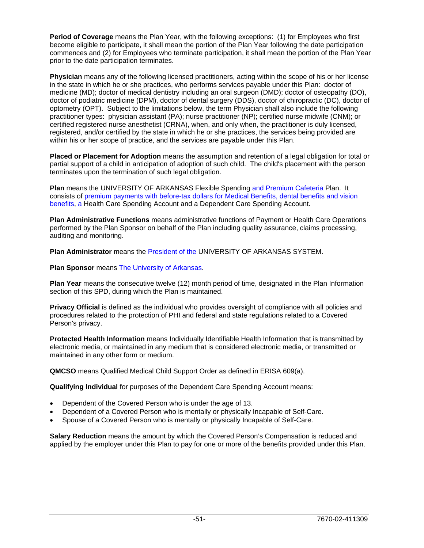**Period of Coverage** means the Plan Year, with the following exceptions: (1) for Employees who first become eligible to participate, it shall mean the portion of the Plan Year following the date participation commences and (2) for Employees who terminate participation, it shall mean the portion of the Plan Year prior to the date participation terminates.

**Physician** means any of the following licensed practitioners, acting within the scope of his or her license in the state in which he or she practices, who performs services payable under this Plan: doctor of medicine (MD); doctor of medical dentistry including an oral surgeon (DMD); doctor of osteopathy (DO), doctor of podiatric medicine (DPM), doctor of dental surgery (DDS), doctor of chiropractic (DC), doctor of optometry (OPT). Subject to the limitations below, the term Physician shall also include the following practitioner types: physician assistant (PA); nurse practitioner (NP); certified nurse midwife (CNM); or certified registered nurse anesthetist (CRNA), when, and only when, the practitioner is duly licensed, registered, and/or certified by the state in which he or she practices, the services being provided are within his or her scope of practice, and the services are payable under this Plan.

**Placed or Placement for Adoption** means the assumption and retention of a legal obligation for total or partial support of a child in anticipation of adoption of such child. The child's placement with the person terminates upon the termination of such legal obligation.

**Plan** means the UNIVERSITY OF ARKANSAS Flexible Spending and Premium Cafeteria Plan. It consists of premium payments with before-tax dollars for Medical Benefits, dental benefits and vision benefits, a Health Care Spending Account and a Dependent Care Spending Account.

**Plan Administrative Functions** means administrative functions of Payment or Health Care Operations performed by the Plan Sponsor on behalf of the Plan including quality assurance, claims processing, auditing and monitoring.

**Plan Administrator** means the President of the UNIVERSITY OF ARKANSAS SYSTEM.

**Plan Sponsor** means The University of Arkansas.

**Plan Year** means the consecutive twelve (12) month period of time, designated in the Plan Information section of this SPD, during which the Plan is maintained.

**Privacy Official** is defined as the individual who provides oversight of compliance with all policies and procedures related to the protection of PHI and federal and state regulations related to a Covered Person's privacy.

**Protected Health Information** means Individually Identifiable Health Information that is transmitted by electronic media, or maintained in any medium that is considered electronic media, or transmitted or maintained in any other form or medium.

**QMCSO** means Qualified Medical Child Support Order as defined in ERISA 609(a).

**Qualifying Individual** for purposes of the Dependent Care Spending Account means:

- Dependent of the Covered Person who is under the age of 13.
- Dependent of a Covered Person who is mentally or physically Incapable of Self-Care.
- Spouse of a Covered Person who is mentally or physically Incapable of Self-Care.

**Salary Reduction** means the amount by which the Covered Person's Compensation is reduced and applied by the employer under this Plan to pay for one or more of the benefits provided under this Plan.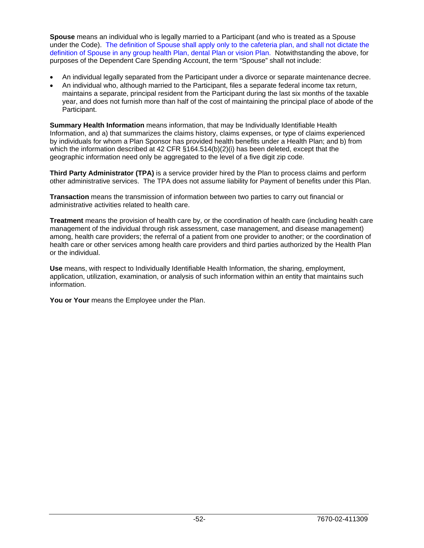**Spouse** means an individual who is legally married to a Participant (and who is treated as a Spouse under the Code). The definition of Spouse shall apply only to the cafeteria plan, and shall not dictate the definition of Spouse in any group health Plan, dental Plan or vision Plan. Notwithstanding the above, for purposes of the Dependent Care Spending Account, the term "Spouse" shall not include:

- An individual legally separated from the Participant under a divorce or separate maintenance decree.
- An individual who, although married to the Participant, files a separate federal income tax return, maintains a separate, principal resident from the Participant during the last six months of the taxable year, and does not furnish more than half of the cost of maintaining the principal place of abode of the Participant.

**Summary Health Information** means information, that may be Individually Identifiable Health Information, and a) that summarizes the claims history, claims expenses, or type of claims experienced by individuals for whom a Plan Sponsor has provided health benefits under a Health Plan; and b) from which the information described at 42 CFR §164.514(b)(2)(i) has been deleted, except that the geographic information need only be aggregated to the level of a five digit zip code.

**Third Party Administrator (TPA)** is a service provider hired by the Plan to process claims and perform other administrative services. The TPA does not assume liability for Payment of benefits under this Plan.

**Transaction** means the transmission of information between two parties to carry out financial or administrative activities related to health care.

**Treatment** means the provision of health care by, or the coordination of health care (including health care management of the individual through risk assessment, case management, and disease management) among, health care providers; the referral of a patient from one provider to another; or the coordination of health care or other services among health care providers and third parties authorized by the Health Plan or the individual.

**Use** means, with respect to Individually Identifiable Health Information, the sharing, employment, application, utilization, examination, or analysis of such information within an entity that maintains such information.

**You or Your** means the Employee under the Plan.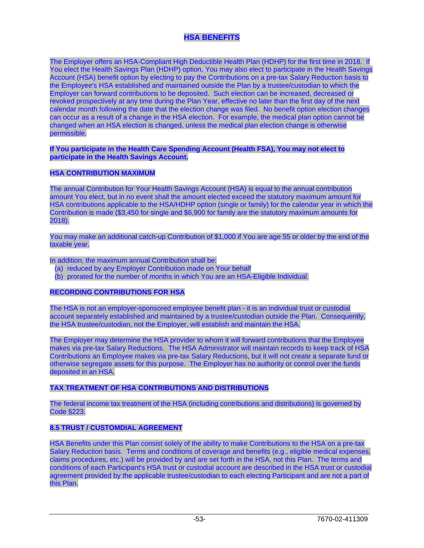# **HSA BENEFITS**

The Employer offers an HSA-Compliant High Deductible Health Plan (HDHP) for the first time in 2018. If You elect the Health Savings Plan (HDHP) option, You may also elect to participate in the Health Savings Account (HSA) benefit option by electing to pay the Contributions on a pre-tax Salary Reduction basis to the Employee's HSA established and maintained outside the Plan by a trustee/custodian to which the Employer can forward contributions to be deposited. Such election can be increased, decreased or revoked prospectively at any time during the Plan Year, effective no later than the first day of the next calendar month following the date that the election change was filed. No benefit option election changes can occur as a result of a change in the HSA election. For example, the medical plan option cannot be changed when an HSA election is changed, unless the medical plan election change is otherwise permissible.

**If You participate in the Health Care Spending Account (Health FSA), You may not elect to participate in the Health Savings Account.** 

#### **HSA CONTRIBUTION MAXIMUM**

The annual Contribution for Your Health Savings Account (HSA) is equal to the annual contribution amount You elect, but in no event shall the amount elected exceed the statutory maximum amount for HSA contributions applicable to the HSA/HDHP option (single or family) for the calendar year in which the Contribution is made (\$3,450 for single and \$6,900 for family are the statutory maximum amounts for 2018).

You may make an additional catch-up Contribution of \$1,000 if You are age 55 or older by the end of the taxable year.

In addition, the maximum annual Contribution shall be:

- (a) reduced by any Employer Contribution made on Your behalf
- (b) prorated for the number of months in which You are an HSA-Eligible Individual.

#### **RECORDING CONTRIBUTIONS FOR HSA**

The HSA is not an employer-sponsored employee benefit plan - it is an individual trust or custodial account separately established and maintained by a trustee/custodian outside the Plan. Consequently, the HSA trustee/custodian, not the Employer, will establish and maintain the HSA.

The Employer may determine the HSA provider to whom it will forward contributions that the Employee makes via pre-tax Salary Reductions. The HSA Administrator will maintain records to keep track of HSA Contributions an Employee makes via pre-tax Salary Reductions, but it will not create a separate fund or otherwise segregate assets for this purpose. The Employer has no authority or control over the funds deposited in an HSA.

#### **TAX TREATMENT OF HSA CONTRIBUTIONS AND DISTRIBUTIONS**

The federal income tax treatment of the HSA (including contributions and distributions) is governed by Code §223.

#### **8.5 TRUST / CUSTOMDIAL AGREEMENT**

HSA Benefits under this Plan consist solely of the ability to make Contributions to the HSA on a pre-tax Salary Reduction basis. Terms and conditions of coverage and benefits (e.g., eligible medical expenses, claims procedures, etc.) will be provided by and are set forth in the HSA, not this Plan. The terms and conditions of each Participant's HSA trust or custodial account are described in the HSA trust or custodial agreement provided by the applicable trustee/custodian to each electing Participant and are not a part of this Plan.